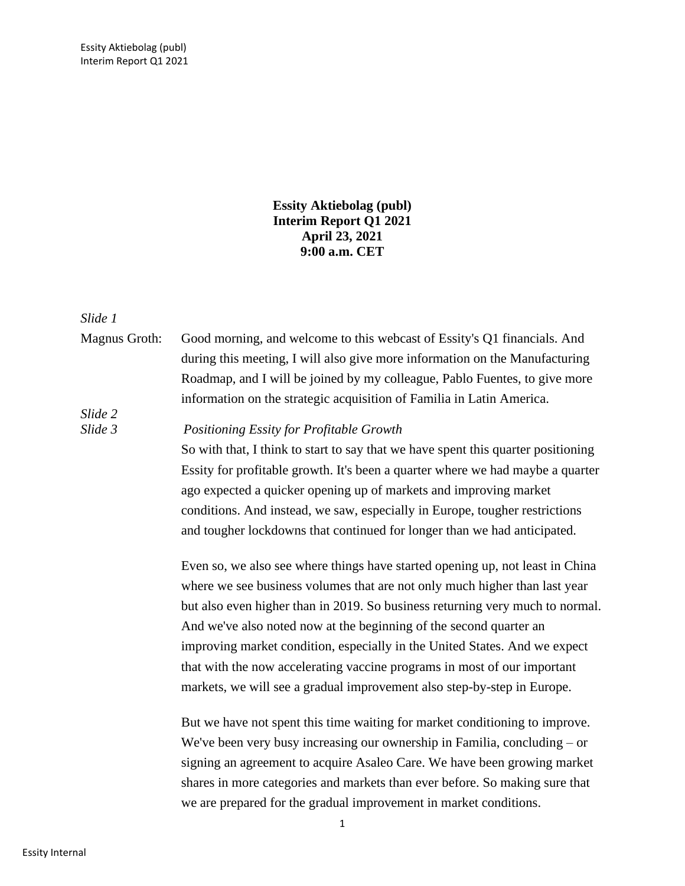**Essity Aktiebolag (publ) Interim Report Q1 2021 April 23, 2021 9:00 a.m. CET**

*Slide 1*

Magnus Groth: Good morning, and welcome to this webcast of Essity's Q1 financials. And during this meeting, I will also give more information on the Manufacturing Roadmap, and I will be joined by my colleague, Pablo Fuentes, to give more information on the strategic acquisition of Familia in Latin America. *Slide 2*

*Slide 3 Positioning Essity for Profitable Growth*

So with that, I think to start to say that we have spent this quarter positioning Essity for profitable growth. It's been a quarter where we had maybe a quarter ago expected a quicker opening up of markets and improving market conditions. And instead, we saw, especially in Europe, tougher restrictions and tougher lockdowns that continued for longer than we had anticipated.

Even so, we also see where things have started opening up, not least in China where we see business volumes that are not only much higher than last year but also even higher than in 2019. So business returning very much to normal. And we've also noted now at the beginning of the second quarter an improving market condition, especially in the United States. And we expect that with the now accelerating vaccine programs in most of our important markets, we will see a gradual improvement also step-by-step in Europe.

But we have not spent this time waiting for market conditioning to improve. We've been very busy increasing our ownership in Familia, concluding – or signing an agreement to acquire Asaleo Care. We have been growing market shares in more categories and markets than ever before. So making sure that we are prepared for the gradual improvement in market conditions.

1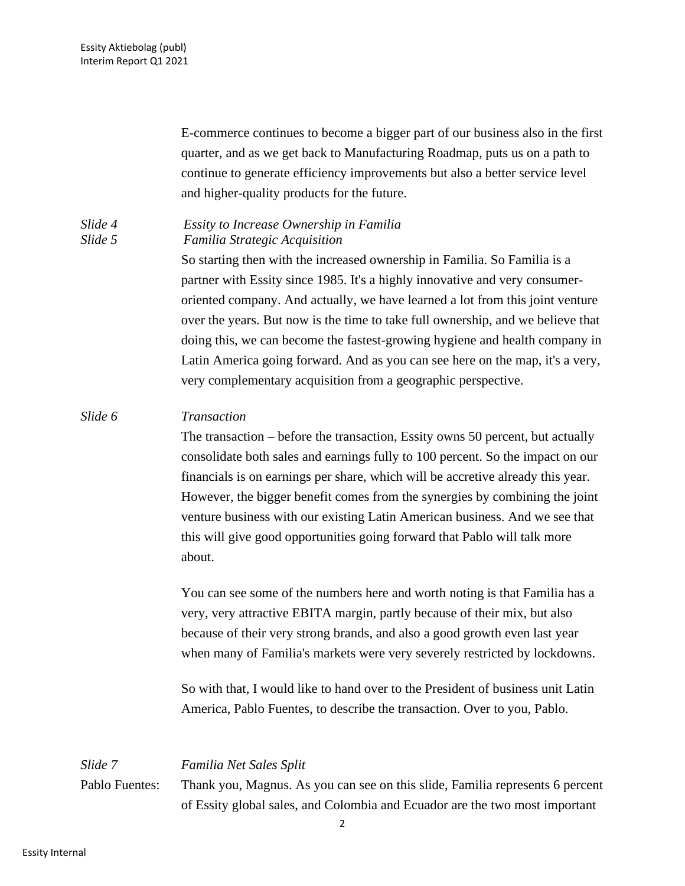E-commerce continues to become a bigger part of our business also in the first quarter, and as we get back to Manufacturing Roadmap, puts us on a path to continue to generate efficiency improvements but also a better service level and higher-quality products for the future.

## *Slide 4 Essity to Increase Ownership in Familia Slide 5 Familia Strategic Acquisition*

So starting then with the increased ownership in Familia. So Familia is a partner with Essity since 1985. It's a highly innovative and very consumeroriented company. And actually, we have learned a lot from this joint venture over the years. But now is the time to take full ownership, and we believe that doing this, we can become the fastest-growing hygiene and health company in Latin America going forward. And as you can see here on the map, it's a very, very complementary acquisition from a geographic perspective.

## *Slide 6 Transaction*

The transaction – before the transaction, Essity owns 50 percent, but actually consolidate both sales and earnings fully to 100 percent. So the impact on our financials is on earnings per share, which will be accretive already this year. However, the bigger benefit comes from the synergies by combining the joint venture business with our existing Latin American business. And we see that this will give good opportunities going forward that Pablo will talk more about.

You can see some of the numbers here and worth noting is that Familia has a very, very attractive EBITA margin, partly because of their mix, but also because of their very strong brands, and also a good growth even last year when many of Familia's markets were very severely restricted by lockdowns.

So with that, I would like to hand over to the President of business unit Latin America, Pablo Fuentes, to describe the transaction. Over to you, Pablo.

# *Slide 7 Familia Net Sales Split* Pablo Fuentes: Thank you, Magnus. As you can see on this slide, Familia represents 6 percent of Essity global sales, and Colombia and Ecuador are the two most important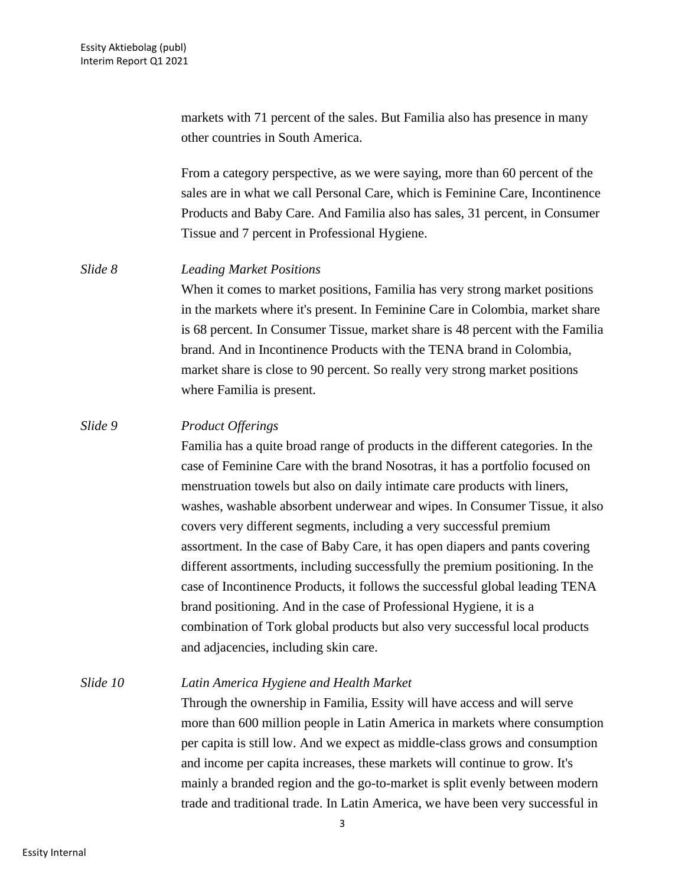markets with 71 percent of the sales. But Familia also has presence in many other countries in South America.

From a category perspective, as we were saying, more than 60 percent of the sales are in what we call Personal Care, which is Feminine Care, Incontinence Products and Baby Care. And Familia also has sales, 31 percent, in Consumer Tissue and 7 percent in Professional Hygiene.

#### *Slide 8 Leading Market Positions*

When it comes to market positions, Familia has very strong market positions in the markets where it's present. In Feminine Care in Colombia, market share is 68 percent. In Consumer Tissue, market share is 48 percent with the Familia brand. And in Incontinence Products with the TENA brand in Colombia, market share is close to 90 percent. So really very strong market positions where Familia is present.

### *Slide 9 Product Offerings*

Familia has a quite broad range of products in the different categories. In the case of Feminine Care with the brand Nosotras, it has a portfolio focused on menstruation towels but also on daily intimate care products with liners, washes, washable absorbent underwear and wipes. In Consumer Tissue, it also covers very different segments, including a very successful premium assortment. In the case of Baby Care, it has open diapers and pants covering different assortments, including successfully the premium positioning. In the case of Incontinence Products, it follows the successful global leading TENA brand positioning. And in the case of Professional Hygiene, it is a combination of Tork global products but also very successful local products and adjacencies, including skin care.

*Slide 10 Latin America Hygiene and Health Market*

Through the ownership in Familia, Essity will have access and will serve more than 600 million people in Latin America in markets where consumption per capita is still low. And we expect as middle-class grows and consumption and income per capita increases, these markets will continue to grow. It's mainly a branded region and the go-to-market is split evenly between modern trade and traditional trade. In Latin America, we have been very successful in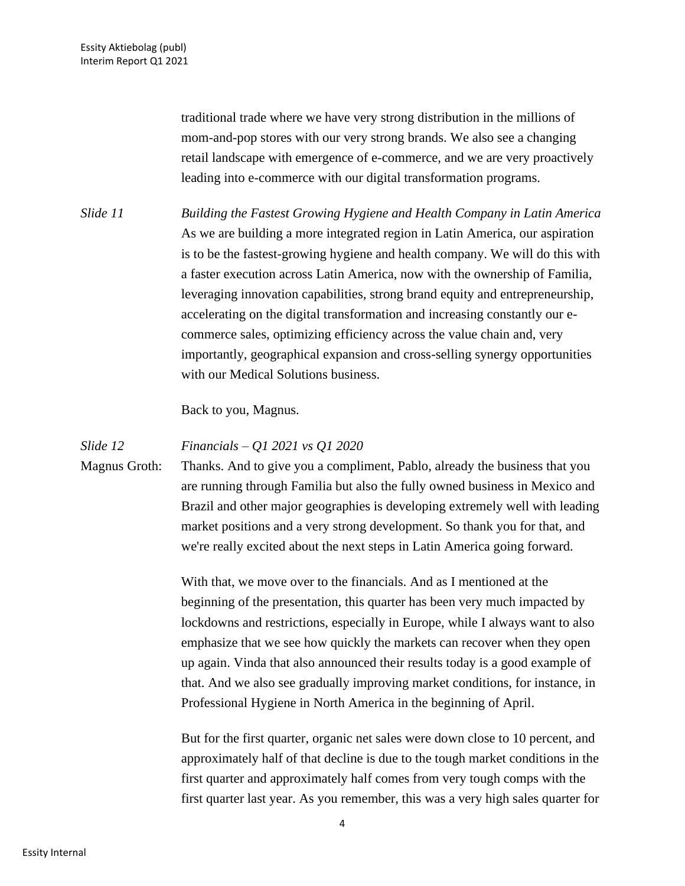traditional trade where we have very strong distribution in the millions of mom-and-pop stores with our very strong brands. We also see a changing retail landscape with emergence of e-commerce, and we are very proactively leading into e-commerce with our digital transformation programs.

*Slide 11 Building the Fastest Growing Hygiene and Health Company in Latin America* As we are building a more integrated region in Latin America, our aspiration is to be the fastest-growing hygiene and health company. We will do this with a faster execution across Latin America, now with the ownership of Familia, leveraging innovation capabilities, strong brand equity and entrepreneurship, accelerating on the digital transformation and increasing constantly our ecommerce sales, optimizing efficiency across the value chain and, very importantly, geographical expansion and cross-selling synergy opportunities with our Medical Solutions business.

Back to you, Magnus.

#### *Slide 12 Financials – Q1 2021 vs Q1 2020*

Magnus Groth: Thanks. And to give you a compliment, Pablo, already the business that you are running through Familia but also the fully owned business in Mexico and Brazil and other major geographies is developing extremely well with leading market positions and a very strong development. So thank you for that, and we're really excited about the next steps in Latin America going forward.

> With that, we move over to the financials. And as I mentioned at the beginning of the presentation, this quarter has been very much impacted by lockdowns and restrictions, especially in Europe, while I always want to also emphasize that we see how quickly the markets can recover when they open up again. Vinda that also announced their results today is a good example of that. And we also see gradually improving market conditions, for instance, in Professional Hygiene in North America in the beginning of April.

But for the first quarter, organic net sales were down close to 10 percent, and approximately half of that decline is due to the tough market conditions in the first quarter and approximately half comes from very tough comps with the first quarter last year. As you remember, this was a very high sales quarter for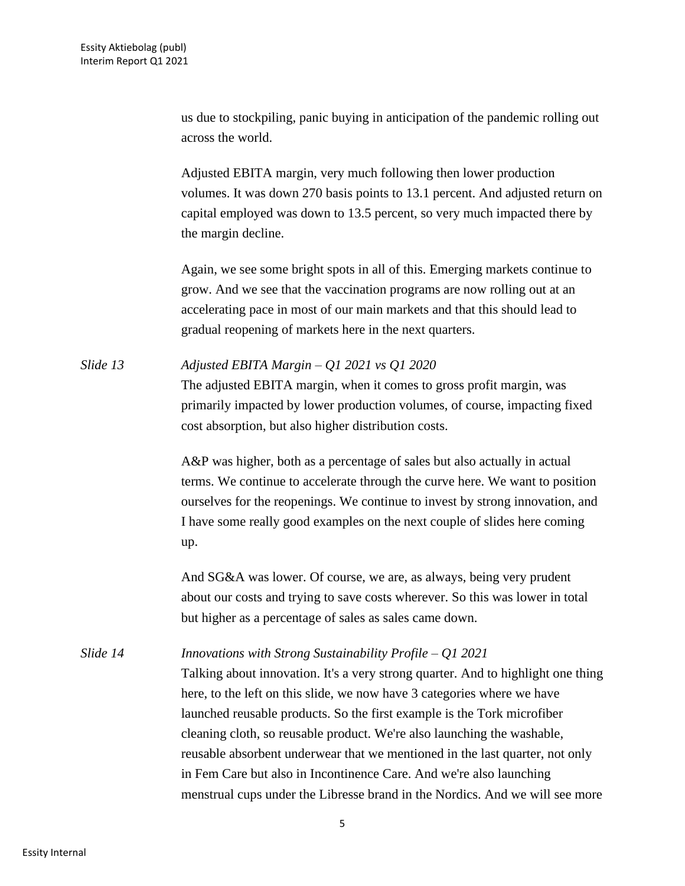us due to stockpiling, panic buying in anticipation of the pandemic rolling out across the world.

Adjusted EBITA margin, very much following then lower production volumes. It was down 270 basis points to 13.1 percent. And adjusted return on capital employed was down to 13.5 percent, so very much impacted there by the margin decline.

Again, we see some bright spots in all of this. Emerging markets continue to grow. And we see that the vaccination programs are now rolling out at an accelerating pace in most of our main markets and that this should lead to gradual reopening of markets here in the next quarters.

*Slide 13 Adjusted EBITA Margin – Q1 2021 vs Q1 2020* The adjusted EBITA margin, when it comes to gross profit margin, was primarily impacted by lower production volumes, of course, impacting fixed cost absorption, but also higher distribution costs.

> A&P was higher, both as a percentage of sales but also actually in actual terms. We continue to accelerate through the curve here. We want to position ourselves for the reopenings. We continue to invest by strong innovation, and I have some really good examples on the next couple of slides here coming up.

And SG&A was lower. Of course, we are, as always, being very prudent about our costs and trying to save costs wherever. So this was lower in total but higher as a percentage of sales as sales came down.

*Slide 14 Innovations with Strong Sustainability Profile – Q1 2021* Talking about innovation. It's a very strong quarter. And to highlight one thing here, to the left on this slide, we now have 3 categories where we have launched reusable products. So the first example is the Tork microfiber cleaning cloth, so reusable product. We're also launching the washable, reusable absorbent underwear that we mentioned in the last quarter, not only in Fem Care but also in Incontinence Care. And we're also launching menstrual cups under the Libresse brand in the Nordics. And we will see more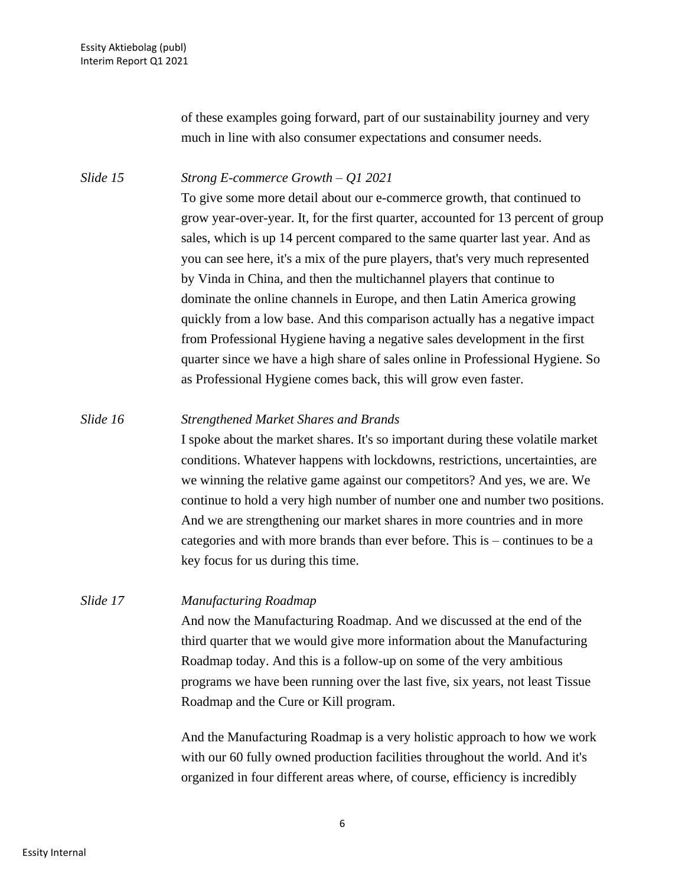of these examples going forward, part of our sustainability journey and very much in line with also consumer expectations and consumer needs.

## *Slide 15 Strong E-commerce Growth – Q1 2021*

To give some more detail about our e-commerce growth, that continued to grow year-over-year. It, for the first quarter, accounted for 13 percent of group sales, which is up 14 percent compared to the same quarter last year. And as you can see here, it's a mix of the pure players, that's very much represented by Vinda in China, and then the multichannel players that continue to dominate the online channels in Europe, and then Latin America growing quickly from a low base. And this comparison actually has a negative impact from Professional Hygiene having a negative sales development in the first quarter since we have a high share of sales online in Professional Hygiene. So as Professional Hygiene comes back, this will grow even faster.

## *Slide 16 Strengthened Market Shares and Brands*

I spoke about the market shares. It's so important during these volatile market conditions. Whatever happens with lockdowns, restrictions, uncertainties, are we winning the relative game against our competitors? And yes, we are. We continue to hold a very high number of number one and number two positions. And we are strengthening our market shares in more countries and in more categories and with more brands than ever before. This is – continues to be a key focus for us during this time.

## *Slide 17 Manufacturing Roadmap*

And now the Manufacturing Roadmap. And we discussed at the end of the third quarter that we would give more information about the Manufacturing Roadmap today. And this is a follow-up on some of the very ambitious programs we have been running over the last five, six years, not least Tissue Roadmap and the Cure or Kill program.

And the Manufacturing Roadmap is a very holistic approach to how we work with our 60 fully owned production facilities throughout the world. And it's organized in four different areas where, of course, efficiency is incredibly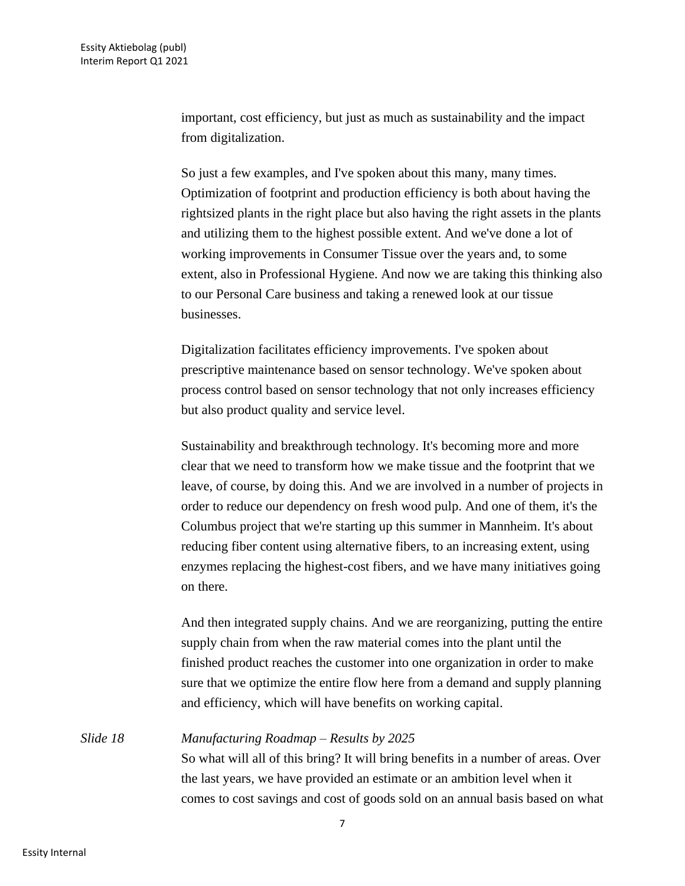important, cost efficiency, but just as much as sustainability and the impact from digitalization.

So just a few examples, and I've spoken about this many, many times. Optimization of footprint and production efficiency is both about having the rightsized plants in the right place but also having the right assets in the plants and utilizing them to the highest possible extent. And we've done a lot of working improvements in Consumer Tissue over the years and, to some extent, also in Professional Hygiene. And now we are taking this thinking also to our Personal Care business and taking a renewed look at our tissue businesses.

Digitalization facilitates efficiency improvements. I've spoken about prescriptive maintenance based on sensor technology. We've spoken about process control based on sensor technology that not only increases efficiency but also product quality and service level.

Sustainability and breakthrough technology. It's becoming more and more clear that we need to transform how we make tissue and the footprint that we leave, of course, by doing this. And we are involved in a number of projects in order to reduce our dependency on fresh wood pulp. And one of them, it's the Columbus project that we're starting up this summer in Mannheim. It's about reducing fiber content using alternative fibers, to an increasing extent, using enzymes replacing the highest-cost fibers, and we have many initiatives going on there.

And then integrated supply chains. And we are reorganizing, putting the entire supply chain from when the raw material comes into the plant until the finished product reaches the customer into one organization in order to make sure that we optimize the entire flow here from a demand and supply planning and efficiency, which will have benefits on working capital.

*Slide 18 Manufacturing Roadmap – Results by 2025* So what will all of this bring? It will bring benefits in a number of areas. Over the last years, we have provided an estimate or an ambition level when it comes to cost savings and cost of goods sold on an annual basis based on what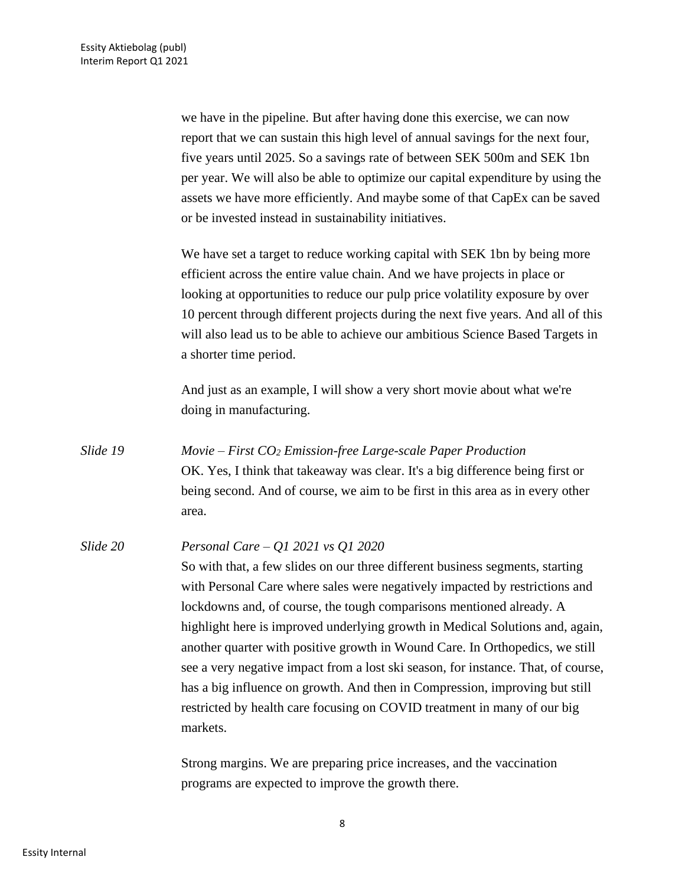we have in the pipeline. But after having done this exercise, we can now report that we can sustain this high level of annual savings for the next four, five years until 2025. So a savings rate of between SEK 500m and SEK 1bn per year. We will also be able to optimize our capital expenditure by using the assets we have more efficiently. And maybe some of that CapEx can be saved or be invested instead in sustainability initiatives.

We have set a target to reduce working capital with SEK 1bn by being more efficient across the entire value chain. And we have projects in place or looking at opportunities to reduce our pulp price volatility exposure by over 10 percent through different projects during the next five years. And all of this will also lead us to be able to achieve our ambitious Science Based Targets in a shorter time period.

And just as an example, I will show a very short movie about what we're doing in manufacturing.

*Slide 19 Movie – First CO<sup>2</sup> Emission-free Large-scale Paper Production* OK. Yes, I think that takeaway was clear. It's a big difference being first or being second. And of course, we aim to be first in this area as in every other area.

*Slide 20 Personal Care – Q1 2021 vs Q1 2020* So with that, a few slides on our three different business segments, starting with Personal Care where sales were negatively impacted by restrictions and lockdowns and, of course, the tough comparisons mentioned already. A highlight here is improved underlying growth in Medical Solutions and, again, another quarter with positive growth in Wound Care. In Orthopedics, we still see a very negative impact from a lost ski season, for instance. That, of course, has a big influence on growth. And then in Compression, improving but still restricted by health care focusing on COVID treatment in many of our big markets.

> Strong margins. We are preparing price increases, and the vaccination programs are expected to improve the growth there.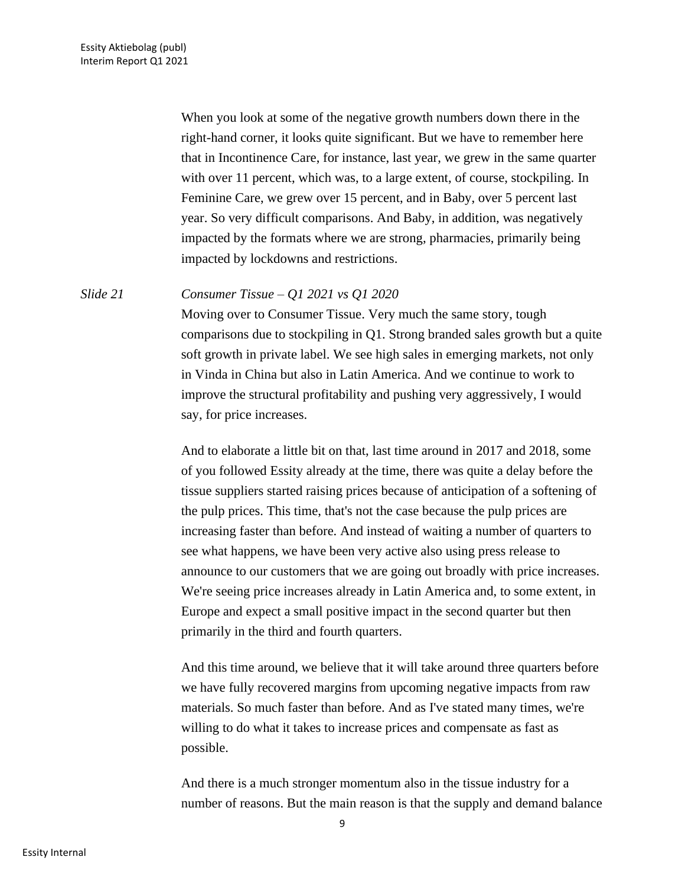When you look at some of the negative growth numbers down there in the right-hand corner, it looks quite significant. But we have to remember here that in Incontinence Care, for instance, last year, we grew in the same quarter with over 11 percent, which was, to a large extent, of course, stockpiling. In Feminine Care, we grew over 15 percent, and in Baby, over 5 percent last year. So very difficult comparisons. And Baby, in addition, was negatively impacted by the formats where we are strong, pharmacies, primarily being impacted by lockdowns and restrictions.

#### *Slide 21 Consumer Tissue – Q1 2021 vs Q1 2020*

Moving over to Consumer Tissue. Very much the same story, tough comparisons due to stockpiling in Q1. Strong branded sales growth but a quite soft growth in private label. We see high sales in emerging markets, not only in Vinda in China but also in Latin America. And we continue to work to improve the structural profitability and pushing very aggressively, I would say, for price increases.

And to elaborate a little bit on that, last time around in 2017 and 2018, some of you followed Essity already at the time, there was quite a delay before the tissue suppliers started raising prices because of anticipation of a softening of the pulp prices. This time, that's not the case because the pulp prices are increasing faster than before. And instead of waiting a number of quarters to see what happens, we have been very active also using press release to announce to our customers that we are going out broadly with price increases. We're seeing price increases already in Latin America and, to some extent, in Europe and expect a small positive impact in the second quarter but then primarily in the third and fourth quarters.

And this time around, we believe that it will take around three quarters before we have fully recovered margins from upcoming negative impacts from raw materials. So much faster than before. And as I've stated many times, we're willing to do what it takes to increase prices and compensate as fast as possible.

And there is a much stronger momentum also in the tissue industry for a number of reasons. But the main reason is that the supply and demand balance

9

Essity Internal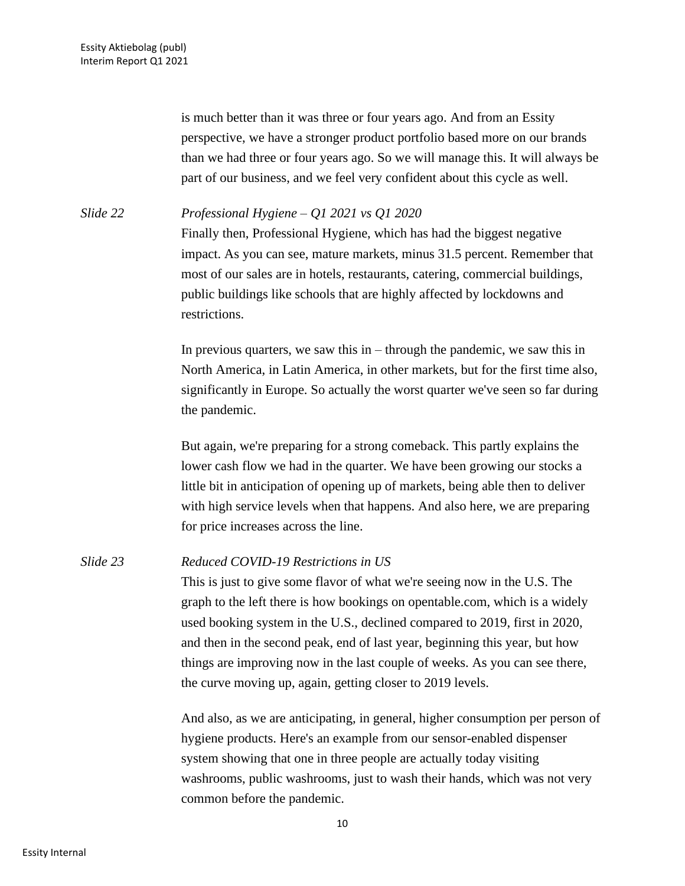is much better than it was three or four years ago. And from an Essity perspective, we have a stronger product portfolio based more on our brands than we had three or four years ago. So we will manage this. It will always be part of our business, and we feel very confident about this cycle as well.

*Slide 22 Professional Hygiene – Q1 2021 vs Q1 2020* Finally then, Professional Hygiene, which has had the biggest negative impact. As you can see, mature markets, minus 31.5 percent. Remember that most of our sales are in hotels, restaurants, catering, commercial buildings, public buildings like schools that are highly affected by lockdowns and restrictions.

> In previous quarters, we saw this in  $-$  through the pandemic, we saw this in North America, in Latin America, in other markets, but for the first time also, significantly in Europe. So actually the worst quarter we've seen so far during the pandemic.

But again, we're preparing for a strong comeback. This partly explains the lower cash flow we had in the quarter. We have been growing our stocks a little bit in anticipation of opening up of markets, being able then to deliver with high service levels when that happens. And also here, we are preparing for price increases across the line.

## *Slide 23 Reduced COVID-19 Restrictions in US*

This is just to give some flavor of what we're seeing now in the U.S. The graph to the left there is how bookings on opentable.com, which is a widely used booking system in the U.S., declined compared to 2019, first in 2020, and then in the second peak, end of last year, beginning this year, but how things are improving now in the last couple of weeks. As you can see there, the curve moving up, again, getting closer to 2019 levels.

And also, as we are anticipating, in general, higher consumption per person of hygiene products. Here's an example from our sensor-enabled dispenser system showing that one in three people are actually today visiting washrooms, public washrooms, just to wash their hands, which was not very common before the pandemic.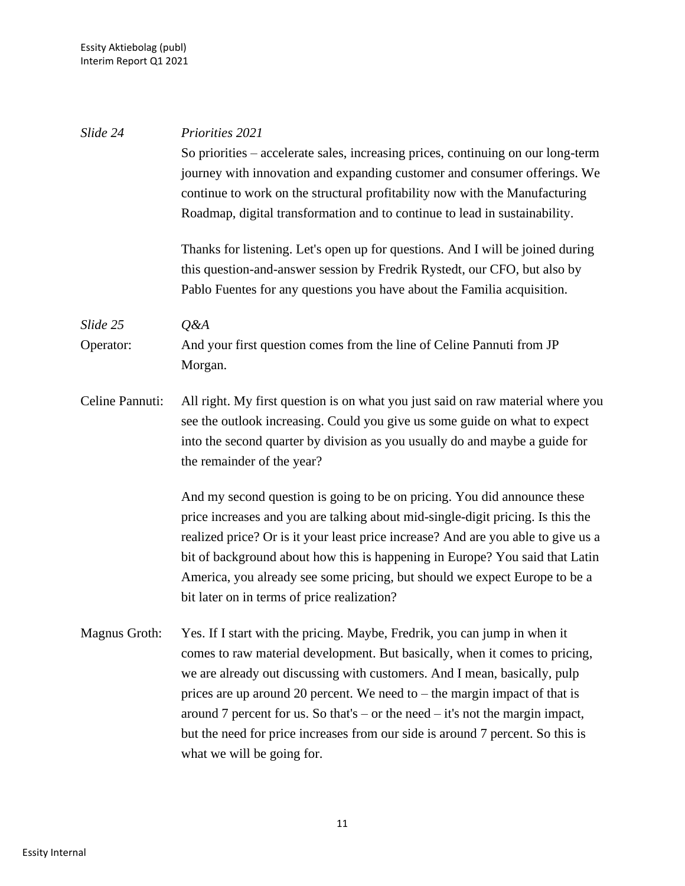| Slide 24        | Priorities 2021                                                                   |
|-----------------|-----------------------------------------------------------------------------------|
|                 | So priorities – accelerate sales, increasing prices, continuing on our long-term  |
|                 | journey with innovation and expanding customer and consumer offerings. We         |
|                 | continue to work on the structural profitability now with the Manufacturing       |
|                 | Roadmap, digital transformation and to continue to lead in sustainability.        |
|                 | Thanks for listening. Let's open up for questions. And I will be joined during    |
|                 | this question-and-answer session by Fredrik Rystedt, our CFO, but also by         |
|                 | Pablo Fuentes for any questions you have about the Familia acquisition.           |
| Slide 25        | Q&A                                                                               |
| Operator:       | And your first question comes from the line of Celine Pannuti from JP             |
|                 | Morgan.                                                                           |
| Celine Pannuti: | All right. My first question is on what you just said on raw material where you   |
|                 | see the outlook increasing. Could you give us some guide on what to expect        |
|                 | into the second quarter by division as you usually do and maybe a guide for       |
|                 | the remainder of the year?                                                        |
|                 | And my second question is going to be on pricing. You did announce these          |
|                 | price increases and you are talking about mid-single-digit pricing. Is this the   |
|                 | realized price? Or is it your least price increase? And are you able to give us a |
|                 | bit of background about how this is happening in Europe? You said that Latin      |
|                 | America, you already see some pricing, but should we expect Europe to be a        |
|                 | bit later on in terms of price realization?                                       |
| Magnus Groth:   | Yes. If I start with the pricing. Maybe, Fredrik, you can jump in when it         |
|                 | comes to raw material development. But basically, when it comes to pricing,       |
|                 | we are already out discussing with customers. And I mean, basically, pulp         |
|                 | prices are up around 20 percent. We need to $-$ the margin impact of that is      |
|                 | around 7 percent for us. So that's – or the need – it's not the margin impact,    |
|                 | but the need for price increases from our side is around 7 percent. So this is    |
|                 | what we will be going for.                                                        |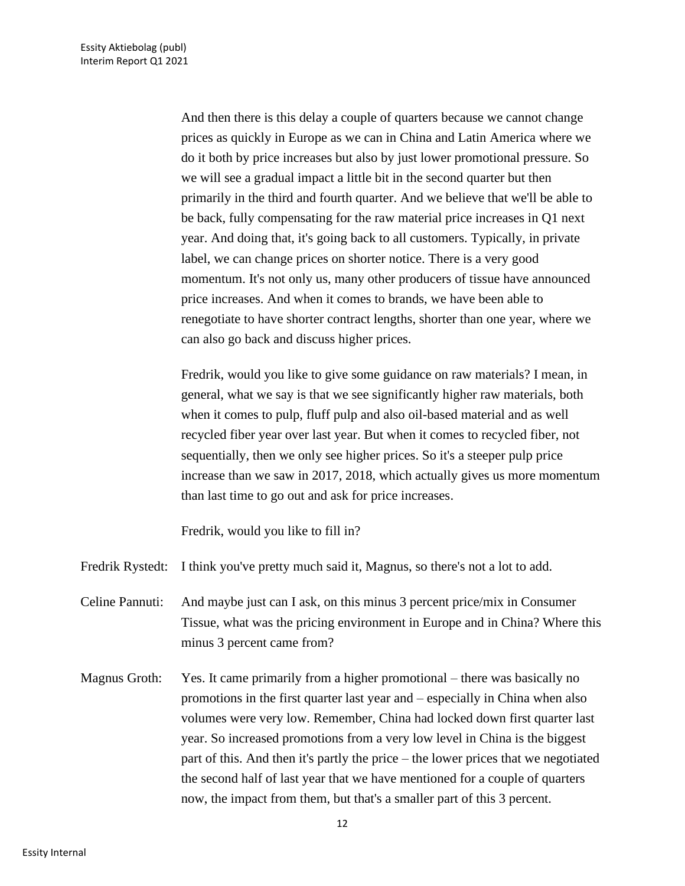And then there is this delay a couple of quarters because we cannot change prices as quickly in Europe as we can in China and Latin America where we do it both by price increases but also by just lower promotional pressure. So we will see a gradual impact a little bit in the second quarter but then primarily in the third and fourth quarter. And we believe that we'll be able to be back, fully compensating for the raw material price increases in Q1 next year. And doing that, it's going back to all customers. Typically, in private label, we can change prices on shorter notice. There is a very good momentum. It's not only us, many other producers of tissue have announced price increases. And when it comes to brands, we have been able to renegotiate to have shorter contract lengths, shorter than one year, where we can also go back and discuss higher prices.

Fredrik, would you like to give some guidance on raw materials? I mean, in general, what we say is that we see significantly higher raw materials, both when it comes to pulp, fluff pulp and also oil-based material and as well recycled fiber year over last year. But when it comes to recycled fiber, not sequentially, then we only see higher prices. So it's a steeper pulp price increase than we saw in 2017, 2018, which actually gives us more momentum than last time to go out and ask for price increases.

Fredrik, would you like to fill in?

- Fredrik Rystedt: I think you've pretty much said it, Magnus, so there's not a lot to add.
- Celine Pannuti: And maybe just can I ask, on this minus 3 percent price/mix in Consumer Tissue, what was the pricing environment in Europe and in China? Where this minus 3 percent came from?
- Magnus Groth: Yes. It came primarily from a higher promotional there was basically no promotions in the first quarter last year and – especially in China when also volumes were very low. Remember, China had locked down first quarter last year. So increased promotions from a very low level in China is the biggest part of this. And then it's partly the price – the lower prices that we negotiated the second half of last year that we have mentioned for a couple of quarters now, the impact from them, but that's a smaller part of this 3 percent.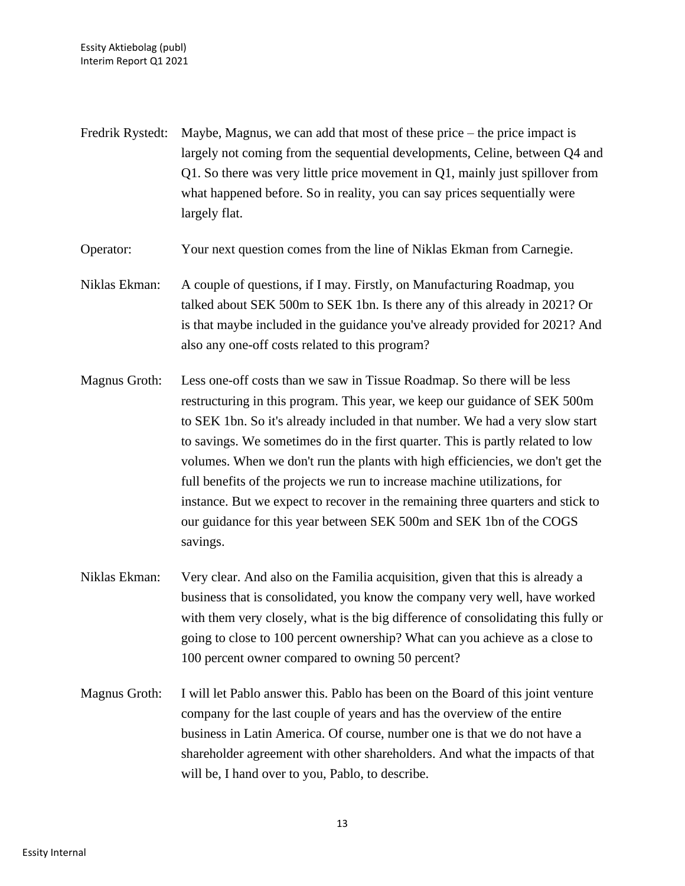Fredrik Rystedt: Maybe, Magnus, we can add that most of these price – the price impact is largely not coming from the sequential developments, Celine, between Q4 and Q1. So there was very little price movement in Q1, mainly just spillover from what happened before. So in reality, you can say prices sequentially were largely flat.

Operator: Your next question comes from the line of Niklas Ekman from Carnegie.

- Niklas Ekman: A couple of questions, if I may. Firstly, on Manufacturing Roadmap, you talked about SEK 500m to SEK 1bn. Is there any of this already in 2021? Or is that maybe included in the guidance you've already provided for 2021? And also any one-off costs related to this program?
- Magnus Groth: Less one-off costs than we saw in Tissue Roadmap. So there will be less restructuring in this program. This year, we keep our guidance of SEK 500m to SEK 1bn. So it's already included in that number. We had a very slow start to savings. We sometimes do in the first quarter. This is partly related to low volumes. When we don't run the plants with high efficiencies, we don't get the full benefits of the projects we run to increase machine utilizations, for instance. But we expect to recover in the remaining three quarters and stick to our guidance for this year between SEK 500m and SEK 1bn of the COGS savings.
- Niklas Ekman: Very clear. And also on the Familia acquisition, given that this is already a business that is consolidated, you know the company very well, have worked with them very closely, what is the big difference of consolidating this fully or going to close to 100 percent ownership? What can you achieve as a close to 100 percent owner compared to owning 50 percent?
- Magnus Groth: I will let Pablo answer this. Pablo has been on the Board of this joint venture company for the last couple of years and has the overview of the entire business in Latin America. Of course, number one is that we do not have a shareholder agreement with other shareholders. And what the impacts of that will be, I hand over to you, Pablo, to describe.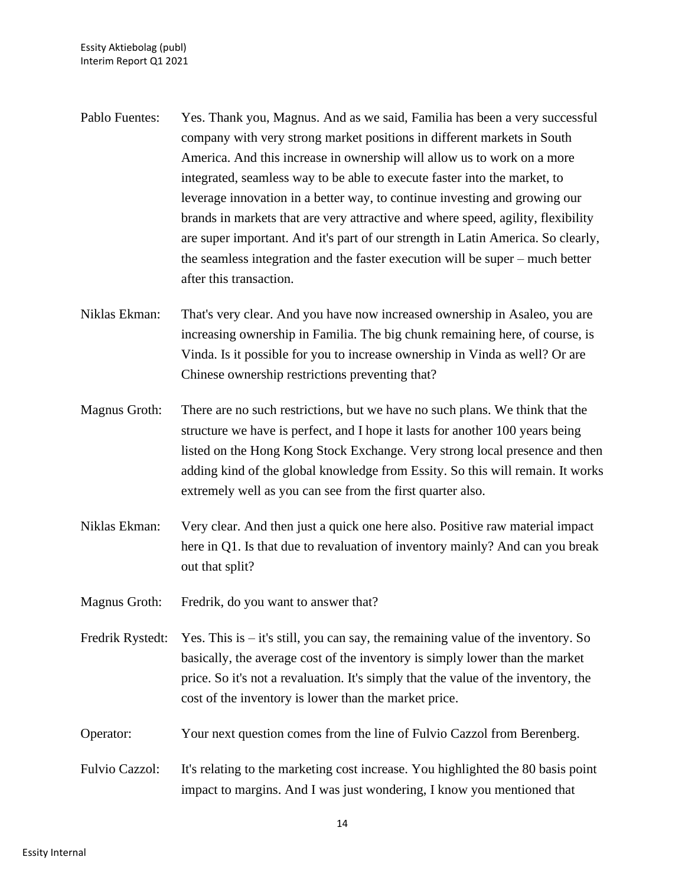- Pablo Fuentes: Yes. Thank you, Magnus. And as we said, Familia has been a very successful company with very strong market positions in different markets in South America. And this increase in ownership will allow us to work on a more integrated, seamless way to be able to execute faster into the market, to leverage innovation in a better way, to continue investing and growing our brands in markets that are very attractive and where speed, agility, flexibility are super important. And it's part of our strength in Latin America. So clearly, the seamless integration and the faster execution will be super – much better after this transaction.
- Niklas Ekman: That's very clear. And you have now increased ownership in Asaleo, you are increasing ownership in Familia. The big chunk remaining here, of course, is Vinda. Is it possible for you to increase ownership in Vinda as well? Or are Chinese ownership restrictions preventing that?
- Magnus Groth: There are no such restrictions, but we have no such plans. We think that the structure we have is perfect, and I hope it lasts for another 100 years being listed on the Hong Kong Stock Exchange. Very strong local presence and then adding kind of the global knowledge from Essity. So this will remain. It works extremely well as you can see from the first quarter also.
- Niklas Ekman: Very clear. And then just a quick one here also. Positive raw material impact here in Q1. Is that due to revaluation of inventory mainly? And can you break out that split?
- Magnus Groth: Fredrik, do you want to answer that?
- Fredrik Rystedt: Yes. This is it's still, you can say, the remaining value of the inventory. So basically, the average cost of the inventory is simply lower than the market price. So it's not a revaluation. It's simply that the value of the inventory, the cost of the inventory is lower than the market price.
- Operator: Your next question comes from the line of Fulvio Cazzol from Berenberg.
- Fulvio Cazzol: It's relating to the marketing cost increase. You highlighted the 80 basis point impact to margins. And I was just wondering, I know you mentioned that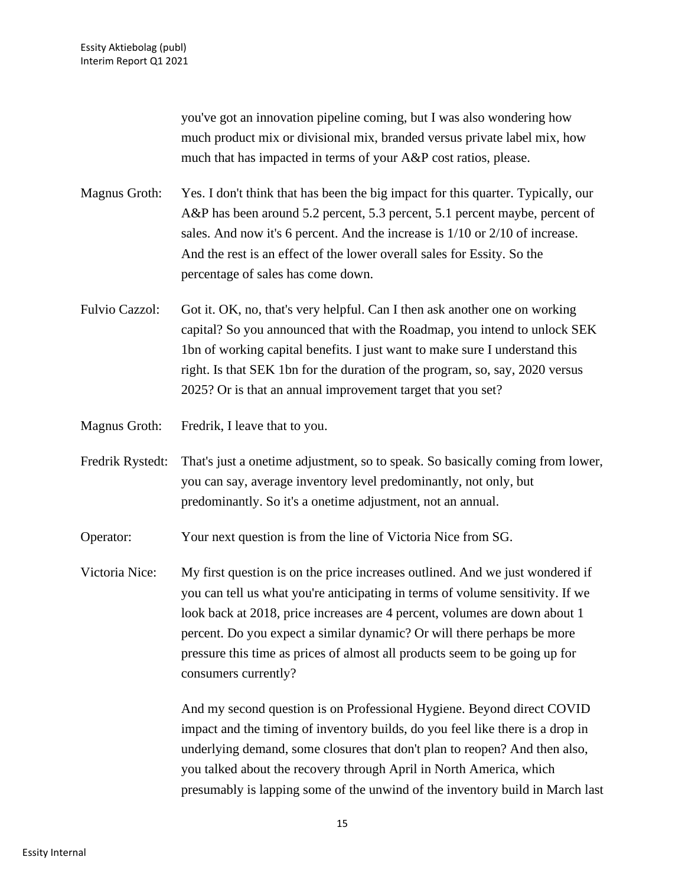you've got an innovation pipeline coming, but I was also wondering how much product mix or divisional mix, branded versus private label mix, how much that has impacted in terms of your A&P cost ratios, please.

- Magnus Groth: Yes. I don't think that has been the big impact for this quarter. Typically, our A&P has been around 5.2 percent, 5.3 percent, 5.1 percent maybe, percent of sales. And now it's 6 percent. And the increase is 1/10 or 2/10 of increase. And the rest is an effect of the lower overall sales for Essity. So the percentage of sales has come down.
- Fulvio Cazzol: Got it. OK, no, that's very helpful. Can I then ask another one on working capital? So you announced that with the Roadmap, you intend to unlock SEK 1bn of working capital benefits. I just want to make sure I understand this right. Is that SEK 1bn for the duration of the program, so, say, 2020 versus 2025? Or is that an annual improvement target that you set?

Magnus Groth: Fredrik, I leave that to you.

Fredrik Rystedt: That's just a onetime adjustment, so to speak. So basically coming from lower, you can say, average inventory level predominantly, not only, but predominantly. So it's a onetime adjustment, not an annual.

Operator: Your next question is from the line of Victoria Nice from SG.

Victoria Nice: My first question is on the price increases outlined. And we just wondered if you can tell us what you're anticipating in terms of volume sensitivity. If we look back at 2018, price increases are 4 percent, volumes are down about 1 percent. Do you expect a similar dynamic? Or will there perhaps be more pressure this time as prices of almost all products seem to be going up for consumers currently?

> And my second question is on Professional Hygiene. Beyond direct COVID impact and the timing of inventory builds, do you feel like there is a drop in underlying demand, some closures that don't plan to reopen? And then also, you talked about the recovery through April in North America, which presumably is lapping some of the unwind of the inventory build in March last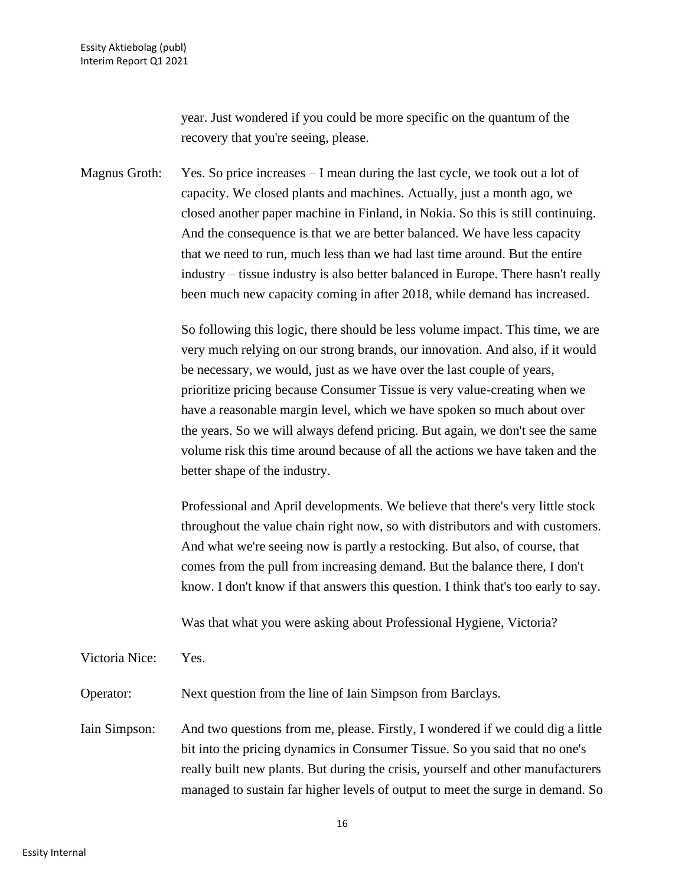year. Just wondered if you could be more specific on the quantum of the recovery that you're seeing, please.

Magnus Groth: Yes. So price increases – I mean during the last cycle, we took out a lot of capacity. We closed plants and machines. Actually, just a month ago, we closed another paper machine in Finland, in Nokia. So this is still continuing. And the consequence is that we are better balanced. We have less capacity that we need to run, much less than we had last time around. But the entire industry – tissue industry is also better balanced in Europe. There hasn't really been much new capacity coming in after 2018, while demand has increased.

> So following this logic, there should be less volume impact. This time, we are very much relying on our strong brands, our innovation. And also, if it would be necessary, we would, just as we have over the last couple of years, prioritize pricing because Consumer Tissue is very value-creating when we have a reasonable margin level, which we have spoken so much about over the years. So we will always defend pricing. But again, we don't see the same volume risk this time around because of all the actions we have taken and the better shape of the industry.

> Professional and April developments. We believe that there's very little stock throughout the value chain right now, so with distributors and with customers. And what we're seeing now is partly a restocking. But also, of course, that comes from the pull from increasing demand. But the balance there, I don't know. I don't know if that answers this question. I think that's too early to say.

Was that what you were asking about Professional Hygiene, Victoria?

Victoria Nice: Yes.

Operator: Next question from the line of Iain Simpson from Barclays.

Iain Simpson: And two questions from me, please. Firstly, I wondered if we could dig a little bit into the pricing dynamics in Consumer Tissue. So you said that no one's really built new plants. But during the crisis, yourself and other manufacturers managed to sustain far higher levels of output to meet the surge in demand. So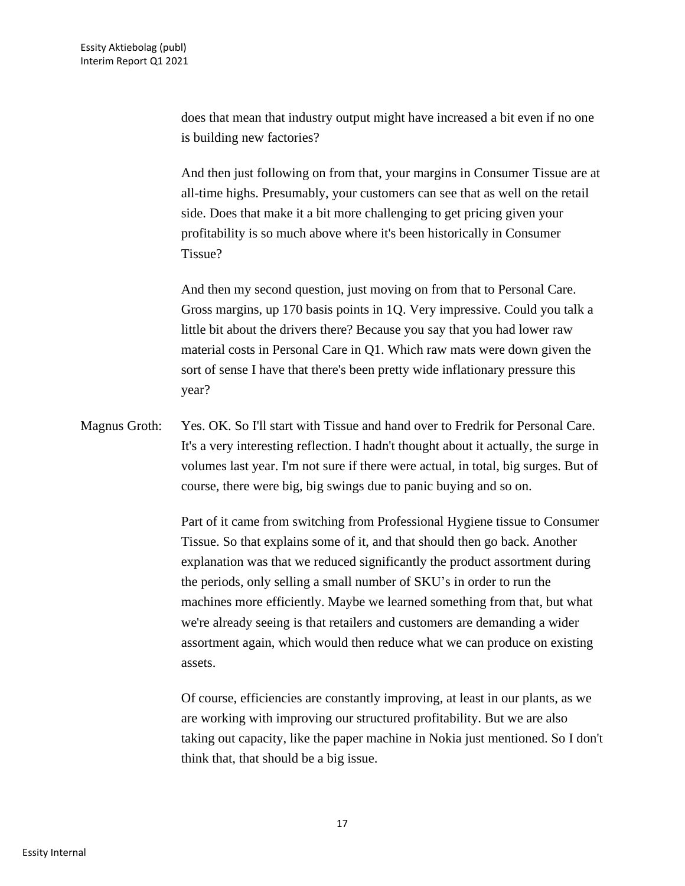does that mean that industry output might have increased a bit even if no one is building new factories?

And then just following on from that, your margins in Consumer Tissue are at all-time highs. Presumably, your customers can see that as well on the retail side. Does that make it a bit more challenging to get pricing given your profitability is so much above where it's been historically in Consumer Tissue?

And then my second question, just moving on from that to Personal Care. Gross margins, up 170 basis points in 1Q. Very impressive. Could you talk a little bit about the drivers there? Because you say that you had lower raw material costs in Personal Care in Q1. Which raw mats were down given the sort of sense I have that there's been pretty wide inflationary pressure this year?

Magnus Groth: Yes. OK. So I'll start with Tissue and hand over to Fredrik for Personal Care. It's a very interesting reflection. I hadn't thought about it actually, the surge in volumes last year. I'm not sure if there were actual, in total, big surges. But of course, there were big, big swings due to panic buying and so on.

> Part of it came from switching from Professional Hygiene tissue to Consumer Tissue. So that explains some of it, and that should then go back. Another explanation was that we reduced significantly the product assortment during the periods, only selling a small number of SKU's in order to run the machines more efficiently. Maybe we learned something from that, but what we're already seeing is that retailers and customers are demanding a wider assortment again, which would then reduce what we can produce on existing assets.

> Of course, efficiencies are constantly improving, at least in our plants, as we are working with improving our structured profitability. But we are also taking out capacity, like the paper machine in Nokia just mentioned. So I don't think that, that should be a big issue.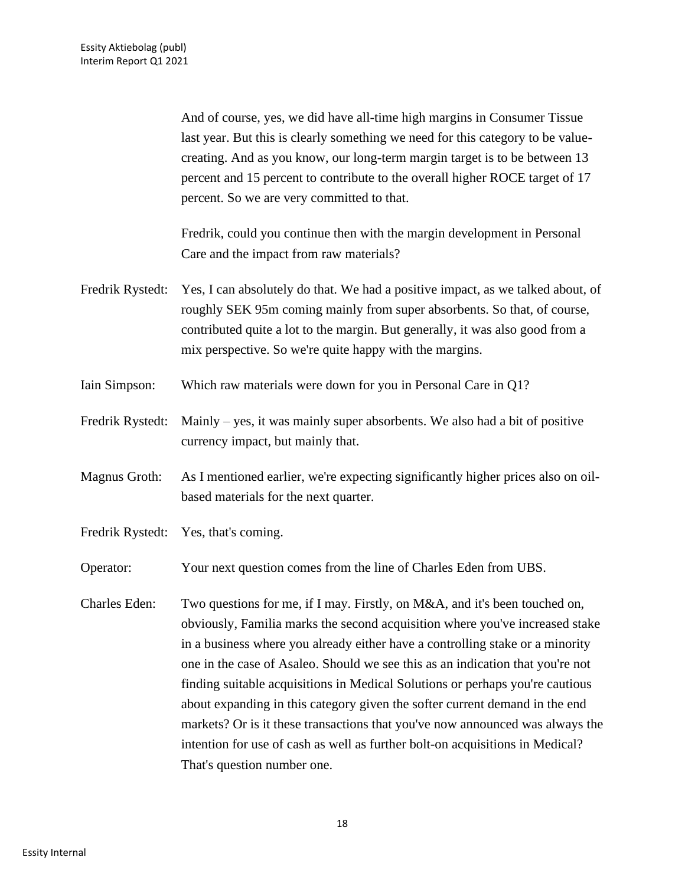And of course, yes, we did have all-time high margins in Consumer Tissue last year. But this is clearly something we need for this category to be valuecreating. And as you know, our long-term margin target is to be between 13 percent and 15 percent to contribute to the overall higher ROCE target of 17 percent. So we are very committed to that.

Fredrik, could you continue then with the margin development in Personal Care and the impact from raw materials?

- Fredrik Rystedt: Yes, I can absolutely do that. We had a positive impact, as we talked about, of roughly SEK 95m coming mainly from super absorbents. So that, of course, contributed quite a lot to the margin. But generally, it was also good from a mix perspective. So we're quite happy with the margins.
- Iain Simpson: Which raw materials were down for you in Personal Care in Q1?
- Fredrik Rystedt: Mainly yes, it was mainly super absorbents. We also had a bit of positive currency impact, but mainly that.
- Magnus Groth: As I mentioned earlier, we're expecting significantly higher prices also on oilbased materials for the next quarter.
- Fredrik Rystedt: Yes, that's coming.

Operator: Your next question comes from the line of Charles Eden from UBS.

Charles Eden: Two questions for me, if I may. Firstly, on M&A, and it's been touched on, obviously, Familia marks the second acquisition where you've increased stake in a business where you already either have a controlling stake or a minority one in the case of Asaleo. Should we see this as an indication that you're not finding suitable acquisitions in Medical Solutions or perhaps you're cautious about expanding in this category given the softer current demand in the end markets? Or is it these transactions that you've now announced was always the intention for use of cash as well as further bolt-on acquisitions in Medical? That's question number one.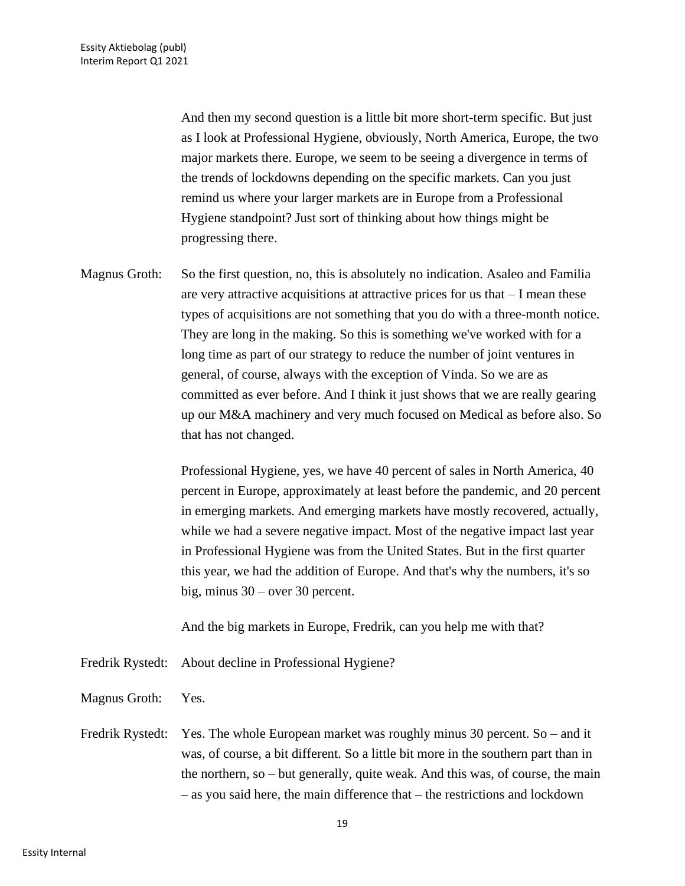And then my second question is a little bit more short-term specific. But just as I look at Professional Hygiene, obviously, North America, Europe, the two major markets there. Europe, we seem to be seeing a divergence in terms of the trends of lockdowns depending on the specific markets. Can you just remind us where your larger markets are in Europe from a Professional Hygiene standpoint? Just sort of thinking about how things might be progressing there.

Magnus Groth: So the first question, no, this is absolutely no indication. Asaleo and Familia are very attractive acquisitions at attractive prices for us that – I mean these types of acquisitions are not something that you do with a three-month notice. They are long in the making. So this is something we've worked with for a long time as part of our strategy to reduce the number of joint ventures in general, of course, always with the exception of Vinda. So we are as committed as ever before. And I think it just shows that we are really gearing up our M&A machinery and very much focused on Medical as before also. So that has not changed.

> Professional Hygiene, yes, we have 40 percent of sales in North America, 40 percent in Europe, approximately at least before the pandemic, and 20 percent in emerging markets. And emerging markets have mostly recovered, actually, while we had a severe negative impact. Most of the negative impact last year in Professional Hygiene was from the United States. But in the first quarter this year, we had the addition of Europe. And that's why the numbers, it's so big, minus 30 – over 30 percent.

And the big markets in Europe, Fredrik, can you help me with that?

- Fredrik Rystedt: About decline in Professional Hygiene?
- Magnus Groth: Yes.
- Fredrik Rystedt: Yes. The whole European market was roughly minus 30 percent. So and it was, of course, a bit different. So a little bit more in the southern part than in the northern, so – but generally, quite weak. And this was, of course, the main – as you said here, the main difference that – the restrictions and lockdown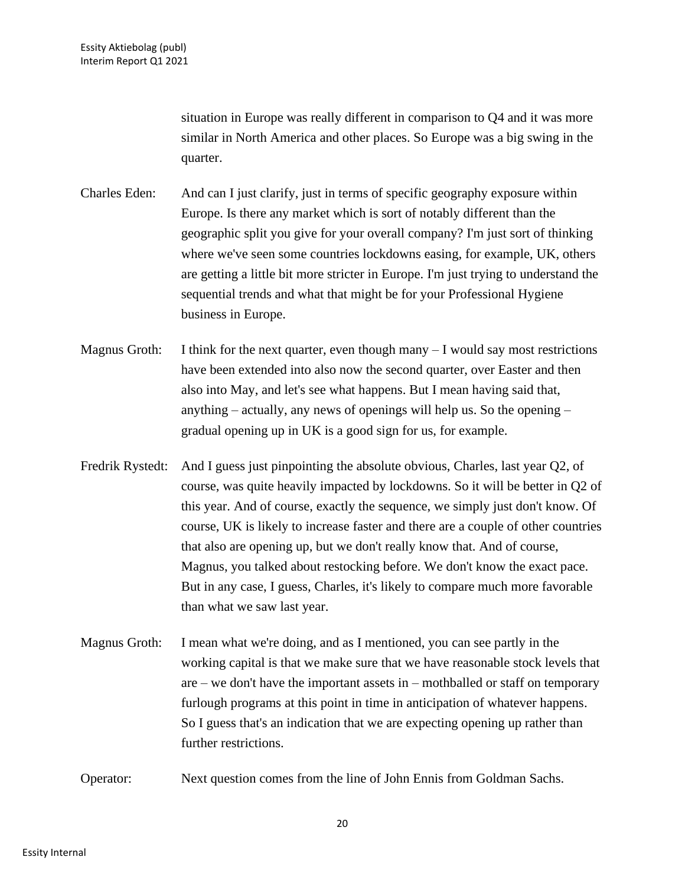situation in Europe was really different in comparison to Q4 and it was more similar in North America and other places. So Europe was a big swing in the quarter.

- Charles Eden: And can I just clarify, just in terms of specific geography exposure within Europe. Is there any market which is sort of notably different than the geographic split you give for your overall company? I'm just sort of thinking where we've seen some countries lockdowns easing, for example, UK, others are getting a little bit more stricter in Europe. I'm just trying to understand the sequential trends and what that might be for your Professional Hygiene business in Europe.
- Magnus Groth: I think for the next quarter, even though many  $-I$  would say most restrictions have been extended into also now the second quarter, over Easter and then also into May, and let's see what happens. But I mean having said that, anything – actually, any news of openings will help us. So the opening – gradual opening up in UK is a good sign for us, for example.
- Fredrik Rystedt: And I guess just pinpointing the absolute obvious, Charles, last year Q2, of course, was quite heavily impacted by lockdowns. So it will be better in Q2 of this year. And of course, exactly the sequence, we simply just don't know. Of course, UK is likely to increase faster and there are a couple of other countries that also are opening up, but we don't really know that. And of course, Magnus, you talked about restocking before. We don't know the exact pace. But in any case, I guess, Charles, it's likely to compare much more favorable than what we saw last year.
- Magnus Groth: I mean what we're doing, and as I mentioned, you can see partly in the working capital is that we make sure that we have reasonable stock levels that are – we don't have the important assets in – mothballed or staff on temporary furlough programs at this point in time in anticipation of whatever happens. So I guess that's an indication that we are expecting opening up rather than further restrictions.
- Operator: Next question comes from the line of John Ennis from Goldman Sachs.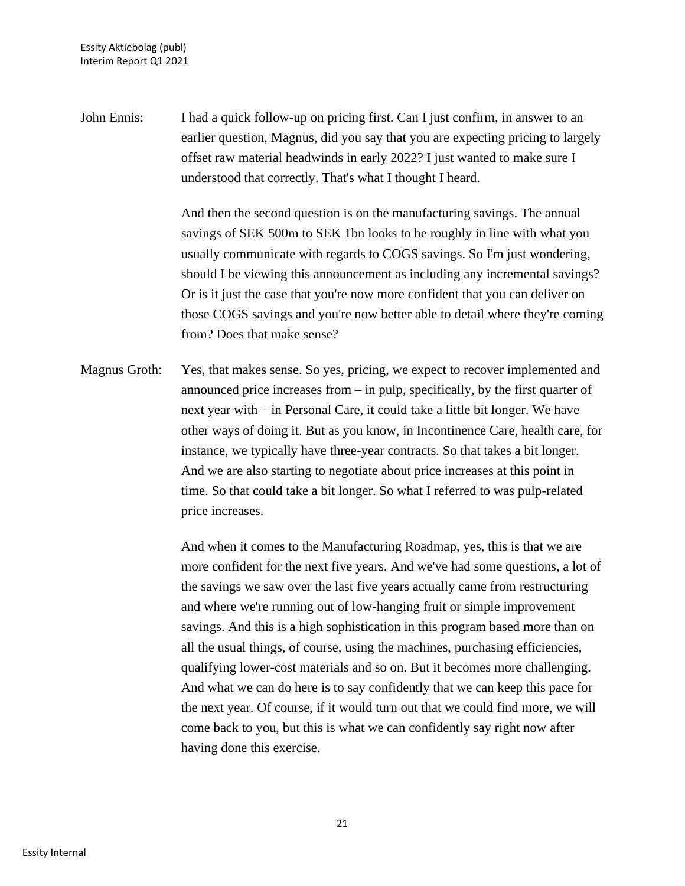John Ennis: I had a quick follow-up on pricing first. Can I just confirm, in answer to an earlier question, Magnus, did you say that you are expecting pricing to largely offset raw material headwinds in early 2022? I just wanted to make sure I understood that correctly. That's what I thought I heard.

> And then the second question is on the manufacturing savings. The annual savings of SEK 500m to SEK 1bn looks to be roughly in line with what you usually communicate with regards to COGS savings. So I'm just wondering, should I be viewing this announcement as including any incremental savings? Or is it just the case that you're now more confident that you can deliver on those COGS savings and you're now better able to detail where they're coming from? Does that make sense?

Magnus Groth: Yes, that makes sense. So yes, pricing, we expect to recover implemented and announced price increases from – in pulp, specifically, by the first quarter of next year with – in Personal Care, it could take a little bit longer. We have other ways of doing it. But as you know, in Incontinence Care, health care, for instance, we typically have three-year contracts. So that takes a bit longer. And we are also starting to negotiate about price increases at this point in time. So that could take a bit longer. So what I referred to was pulp-related price increases.

> And when it comes to the Manufacturing Roadmap, yes, this is that we are more confident for the next five years. And we've had some questions, a lot of the savings we saw over the last five years actually came from restructuring and where we're running out of low-hanging fruit or simple improvement savings. And this is a high sophistication in this program based more than on all the usual things, of course, using the machines, purchasing efficiencies, qualifying lower-cost materials and so on. But it becomes more challenging. And what we can do here is to say confidently that we can keep this pace for the next year. Of course, if it would turn out that we could find more, we will come back to you, but this is what we can confidently say right now after having done this exercise.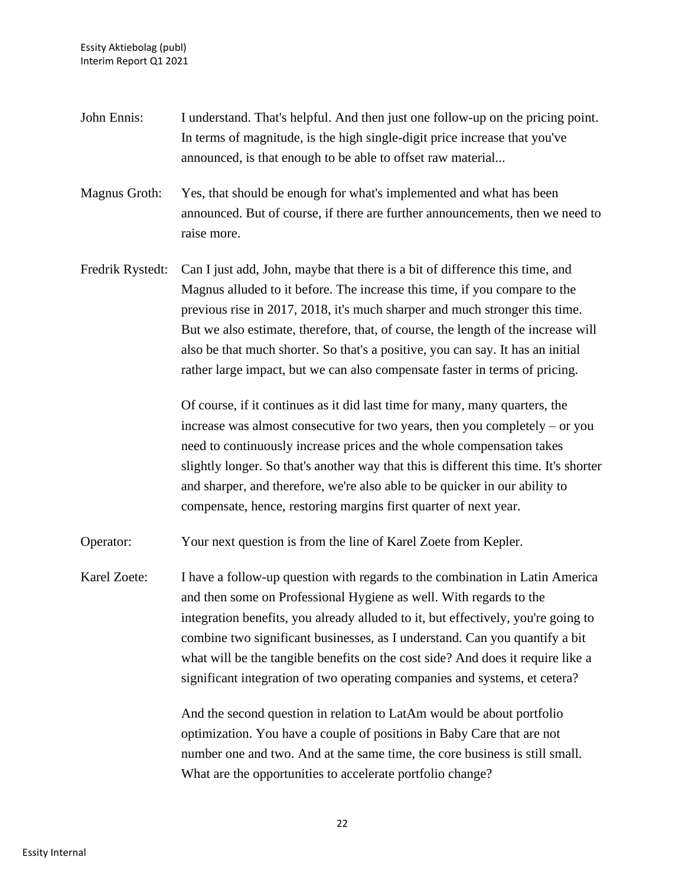- John Ennis: I understand. That's helpful. And then just one follow-up on the pricing point. In terms of magnitude, is the high single-digit price increase that you've announced, is that enough to be able to offset raw material...
- Magnus Groth: Yes, that should be enough for what's implemented and what has been announced. But of course, if there are further announcements, then we need to raise more.
- Fredrik Rystedt: Can I just add, John, maybe that there is a bit of difference this time, and Magnus alluded to it before. The increase this time, if you compare to the previous rise in 2017, 2018, it's much sharper and much stronger this time. But we also estimate, therefore, that, of course, the length of the increase will also be that much shorter. So that's a positive, you can say. It has an initial rather large impact, but we can also compensate faster in terms of pricing.

Of course, if it continues as it did last time for many, many quarters, the increase was almost consecutive for two years, then you completely – or you need to continuously increase prices and the whole compensation takes slightly longer. So that's another way that this is different this time. It's shorter and sharper, and therefore, we're also able to be quicker in our ability to compensate, hence, restoring margins first quarter of next year.

Operator: Your next question is from the line of Karel Zoete from Kepler.

Karel Zoete: I have a follow-up question with regards to the combination in Latin America and then some on Professional Hygiene as well. With regards to the integration benefits, you already alluded to it, but effectively, you're going to combine two significant businesses, as I understand. Can you quantify a bit what will be the tangible benefits on the cost side? And does it require like a significant integration of two operating companies and systems, et cetera?

> And the second question in relation to LatAm would be about portfolio optimization. You have a couple of positions in Baby Care that are not number one and two. And at the same time, the core business is still small. What are the opportunities to accelerate portfolio change?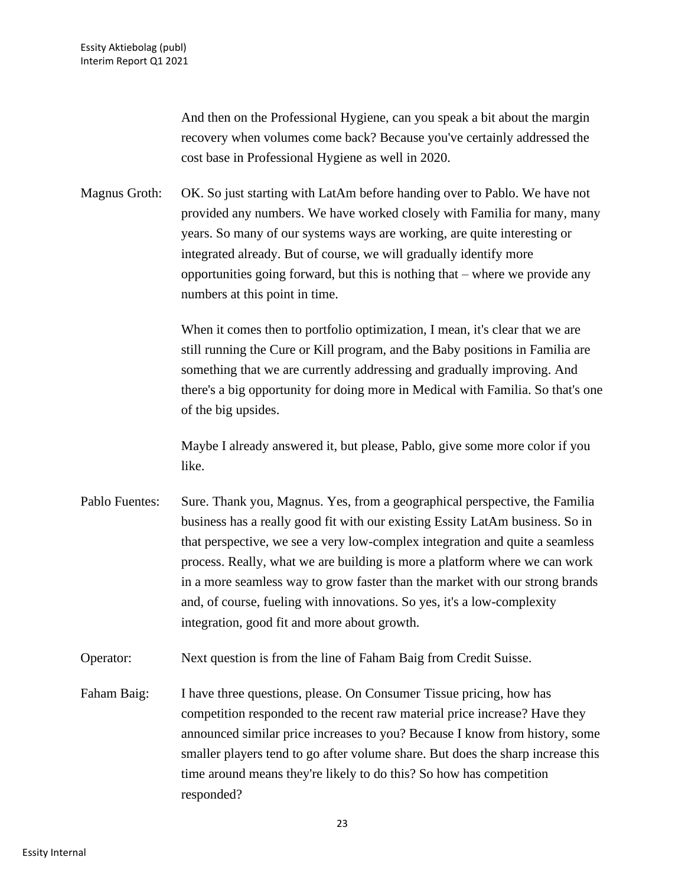And then on the Professional Hygiene, can you speak a bit about the margin recovery when volumes come back? Because you've certainly addressed the cost base in Professional Hygiene as well in 2020.

Magnus Groth: OK. So just starting with LatAm before handing over to Pablo. We have not provided any numbers. We have worked closely with Familia for many, many years. So many of our systems ways are working, are quite interesting or integrated already. But of course, we will gradually identify more opportunities going forward, but this is nothing that – where we provide any numbers at this point in time.

> When it comes then to portfolio optimization, I mean, it's clear that we are still running the Cure or Kill program, and the Baby positions in Familia are something that we are currently addressing and gradually improving. And there's a big opportunity for doing more in Medical with Familia. So that's one of the big upsides.

Maybe I already answered it, but please, Pablo, give some more color if you like.

- Pablo Fuentes: Sure. Thank you, Magnus. Yes, from a geographical perspective, the Familia business has a really good fit with our existing Essity LatAm business. So in that perspective, we see a very low-complex integration and quite a seamless process. Really, what we are building is more a platform where we can work in a more seamless way to grow faster than the market with our strong brands and, of course, fueling with innovations. So yes, it's a low-complexity integration, good fit and more about growth.
- Operator: Next question is from the line of Faham Baig from Credit Suisse.
- Faham Baig: I have three questions, please. On Consumer Tissue pricing, how has competition responded to the recent raw material price increase? Have they announced similar price increases to you? Because I know from history, some smaller players tend to go after volume share. But does the sharp increase this time around means they're likely to do this? So how has competition responded?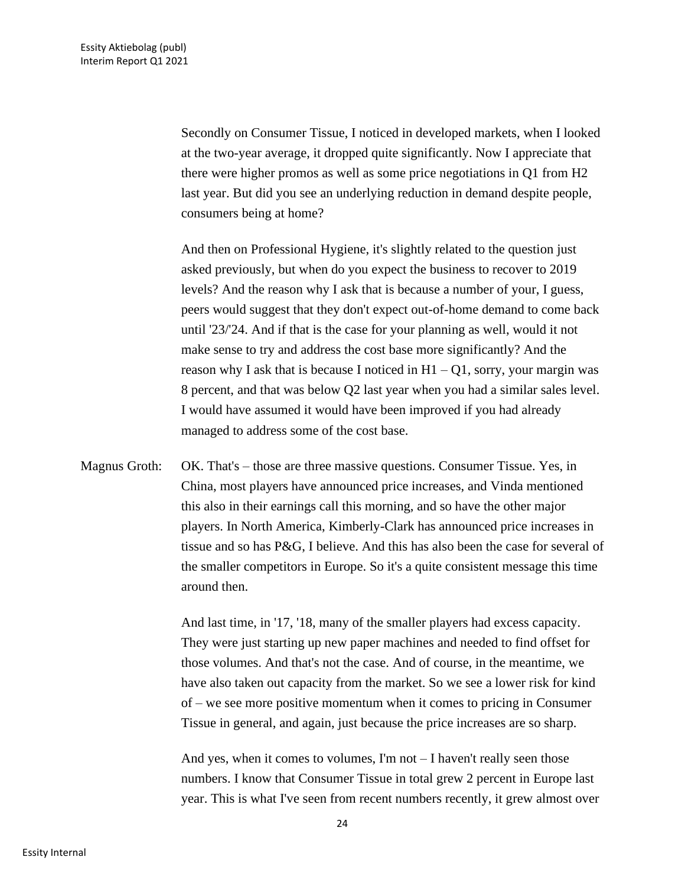Secondly on Consumer Tissue, I noticed in developed markets, when I looked at the two-year average, it dropped quite significantly. Now I appreciate that there were higher promos as well as some price negotiations in Q1 from H2 last year. But did you see an underlying reduction in demand despite people, consumers being at home?

And then on Professional Hygiene, it's slightly related to the question just asked previously, but when do you expect the business to recover to 2019 levels? And the reason why I ask that is because a number of your, I guess, peers would suggest that they don't expect out-of-home demand to come back until '23/'24. And if that is the case for your planning as well, would it not make sense to try and address the cost base more significantly? And the reason why I ask that is because I noticed in  $H1 - Q1$ , sorry, your margin was 8 percent, and that was below Q2 last year when you had a similar sales level. I would have assumed it would have been improved if you had already managed to address some of the cost base.

Magnus Groth: OK. That's – those are three massive questions. Consumer Tissue. Yes, in China, most players have announced price increases, and Vinda mentioned this also in their earnings call this morning, and so have the other major players. In North America, Kimberly-Clark has announced price increases in tissue and so has P&G, I believe. And this has also been the case for several of the smaller competitors in Europe. So it's a quite consistent message this time around then.

> And last time, in '17, '18, many of the smaller players had excess capacity. They were just starting up new paper machines and needed to find offset for those volumes. And that's not the case. And of course, in the meantime, we have also taken out capacity from the market. So we see a lower risk for kind of – we see more positive momentum when it comes to pricing in Consumer Tissue in general, and again, just because the price increases are so sharp.

> And yes, when it comes to volumes, I'm not – I haven't really seen those numbers. I know that Consumer Tissue in total grew 2 percent in Europe last year. This is what I've seen from recent numbers recently, it grew almost over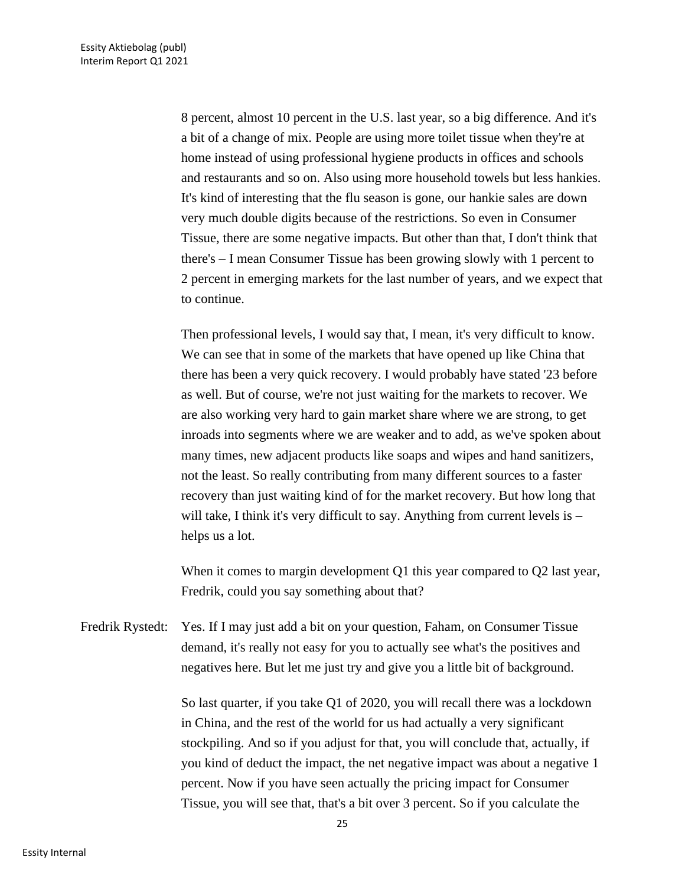8 percent, almost 10 percent in the U.S. last year, so a big difference. And it's a bit of a change of mix. People are using more toilet tissue when they're at home instead of using professional hygiene products in offices and schools and restaurants and so on. Also using more household towels but less hankies. It's kind of interesting that the flu season is gone, our hankie sales are down very much double digits because of the restrictions. So even in Consumer Tissue, there are some negative impacts. But other than that, I don't think that there's – I mean Consumer Tissue has been growing slowly with 1 percent to 2 percent in emerging markets for the last number of years, and we expect that to continue.

Then professional levels, I would say that, I mean, it's very difficult to know. We can see that in some of the markets that have opened up like China that there has been a very quick recovery. I would probably have stated '23 before as well. But of course, we're not just waiting for the markets to recover. We are also working very hard to gain market share where we are strong, to get inroads into segments where we are weaker and to add, as we've spoken about many times, new adjacent products like soaps and wipes and hand sanitizers, not the least. So really contributing from many different sources to a faster recovery than just waiting kind of for the market recovery. But how long that will take, I think it's very difficult to say. Anything from current levels is – helps us a lot.

When it comes to margin development Q1 this year compared to Q2 last year, Fredrik, could you say something about that?

Fredrik Rystedt: Yes. If I may just add a bit on your question, Faham, on Consumer Tissue demand, it's really not easy for you to actually see what's the positives and negatives here. But let me just try and give you a little bit of background.

> So last quarter, if you take Q1 of 2020, you will recall there was a lockdown in China, and the rest of the world for us had actually a very significant stockpiling. And so if you adjust for that, you will conclude that, actually, if you kind of deduct the impact, the net negative impact was about a negative 1 percent. Now if you have seen actually the pricing impact for Consumer Tissue, you will see that, that's a bit over 3 percent. So if you calculate the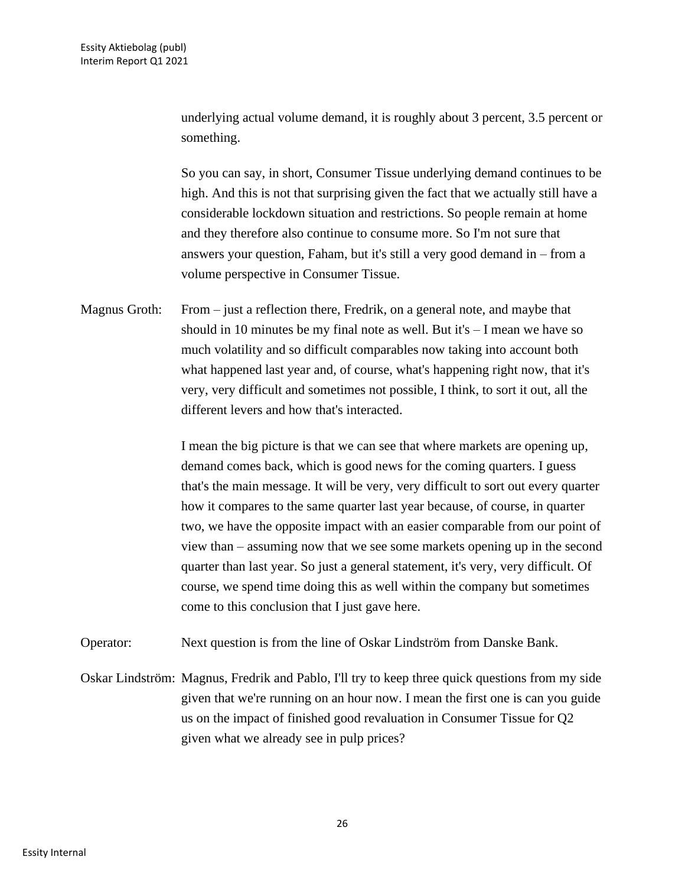underlying actual volume demand, it is roughly about 3 percent, 3.5 percent or something.

So you can say, in short, Consumer Tissue underlying demand continues to be high. And this is not that surprising given the fact that we actually still have a considerable lockdown situation and restrictions. So people remain at home and they therefore also continue to consume more. So I'm not sure that answers your question, Faham, but it's still a very good demand in – from a volume perspective in Consumer Tissue.

Magnus Groth: From – just a reflection there, Fredrik, on a general note, and maybe that should in 10 minutes be my final note as well. But it's – I mean we have so much volatility and so difficult comparables now taking into account both what happened last year and, of course, what's happening right now, that it's very, very difficult and sometimes not possible, I think, to sort it out, all the different levers and how that's interacted.

> I mean the big picture is that we can see that where markets are opening up, demand comes back, which is good news for the coming quarters. I guess that's the main message. It will be very, very difficult to sort out every quarter how it compares to the same quarter last year because, of course, in quarter two, we have the opposite impact with an easier comparable from our point of view than – assuming now that we see some markets opening up in the second quarter than last year. So just a general statement, it's very, very difficult. Of course, we spend time doing this as well within the company but sometimes come to this conclusion that I just gave here.

Operator: Next question is from the line of Oskar Lindström from Danske Bank.

Oskar Lindström: Magnus, Fredrik and Pablo, I'll try to keep three quick questions from my side given that we're running on an hour now. I mean the first one is can you guide us on the impact of finished good revaluation in Consumer Tissue for Q2 given what we already see in pulp prices?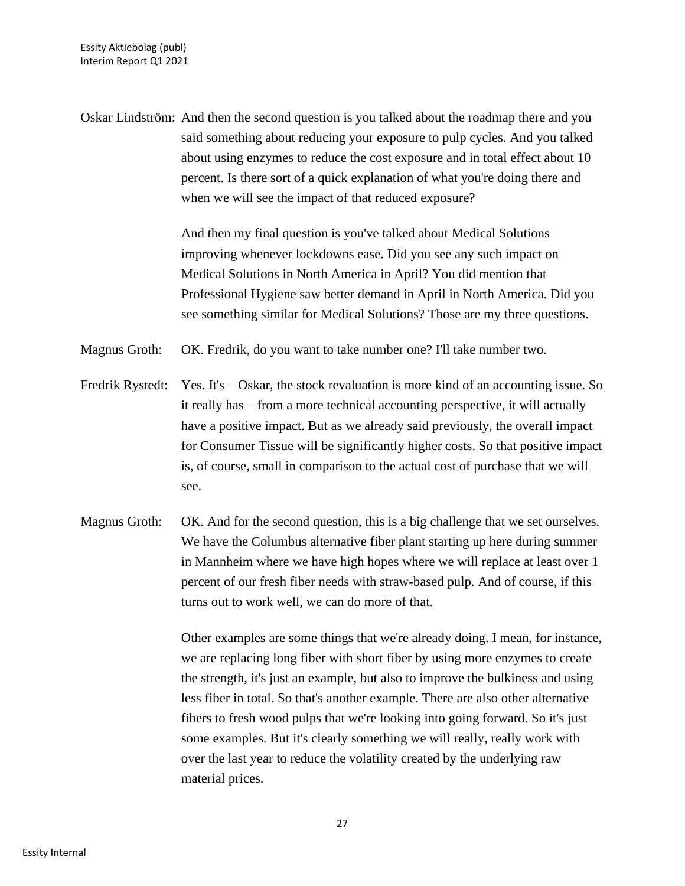Oskar Lindström: And then the second question is you talked about the roadmap there and you said something about reducing your exposure to pulp cycles. And you talked about using enzymes to reduce the cost exposure and in total effect about 10 percent. Is there sort of a quick explanation of what you're doing there and when we will see the impact of that reduced exposure?

> And then my final question is you've talked about Medical Solutions improving whenever lockdowns ease. Did you see any such impact on Medical Solutions in North America in April? You did mention that Professional Hygiene saw better demand in April in North America. Did you see something similar for Medical Solutions? Those are my three questions.

Magnus Groth: OK. Fredrik, do you want to take number one? I'll take number two.

- Fredrik Rystedt: Yes. It's Oskar, the stock revaluation is more kind of an accounting issue. So it really has – from a more technical accounting perspective, it will actually have a positive impact. But as we already said previously, the overall impact for Consumer Tissue will be significantly higher costs. So that positive impact is, of course, small in comparison to the actual cost of purchase that we will see.
- Magnus Groth: OK. And for the second question, this is a big challenge that we set ourselves. We have the Columbus alternative fiber plant starting up here during summer in Mannheim where we have high hopes where we will replace at least over 1 percent of our fresh fiber needs with straw-based pulp. And of course, if this turns out to work well, we can do more of that.

Other examples are some things that we're already doing. I mean, for instance, we are replacing long fiber with short fiber by using more enzymes to create the strength, it's just an example, but also to improve the bulkiness and using less fiber in total. So that's another example. There are also other alternative fibers to fresh wood pulps that we're looking into going forward. So it's just some examples. But it's clearly something we will really, really work with over the last year to reduce the volatility created by the underlying raw material prices.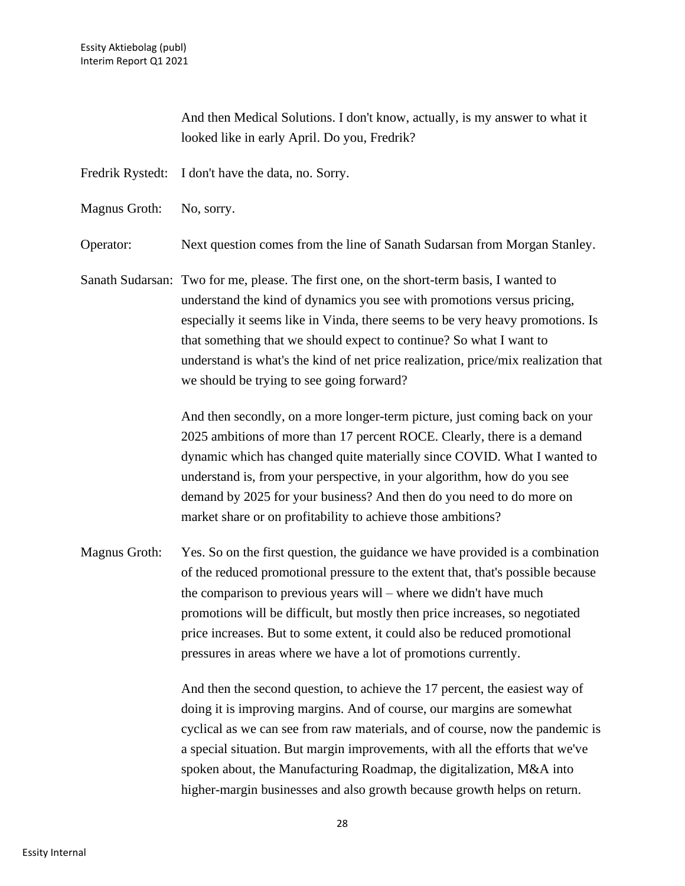And then Medical Solutions. I don't know, actually, is my answer to what it looked like in early April. Do you, Fredrik?

Fredrik Rystedt: I don't have the data, no. Sorry.

Magnus Groth: No, sorry.

Operator: Next question comes from the line of Sanath Sudarsan from Morgan Stanley.

Sanath Sudarsan: Two for me, please. The first one, on the short-term basis, I wanted to understand the kind of dynamics you see with promotions versus pricing, especially it seems like in Vinda, there seems to be very heavy promotions. Is that something that we should expect to continue? So what I want to understand is what's the kind of net price realization, price/mix realization that we should be trying to see going forward?

> And then secondly, on a more longer-term picture, just coming back on your 2025 ambitions of more than 17 percent ROCE. Clearly, there is a demand dynamic which has changed quite materially since COVID. What I wanted to understand is, from your perspective, in your algorithm, how do you see demand by 2025 for your business? And then do you need to do more on market share or on profitability to achieve those ambitions?

Magnus Groth: Yes. So on the first question, the guidance we have provided is a combination of the reduced promotional pressure to the extent that, that's possible because the comparison to previous years will – where we didn't have much promotions will be difficult, but mostly then price increases, so negotiated price increases. But to some extent, it could also be reduced promotional pressures in areas where we have a lot of promotions currently.

> And then the second question, to achieve the 17 percent, the easiest way of doing it is improving margins. And of course, our margins are somewhat cyclical as we can see from raw materials, and of course, now the pandemic is a special situation. But margin improvements, with all the efforts that we've spoken about, the Manufacturing Roadmap, the digitalization, M&A into higher-margin businesses and also growth because growth helps on return.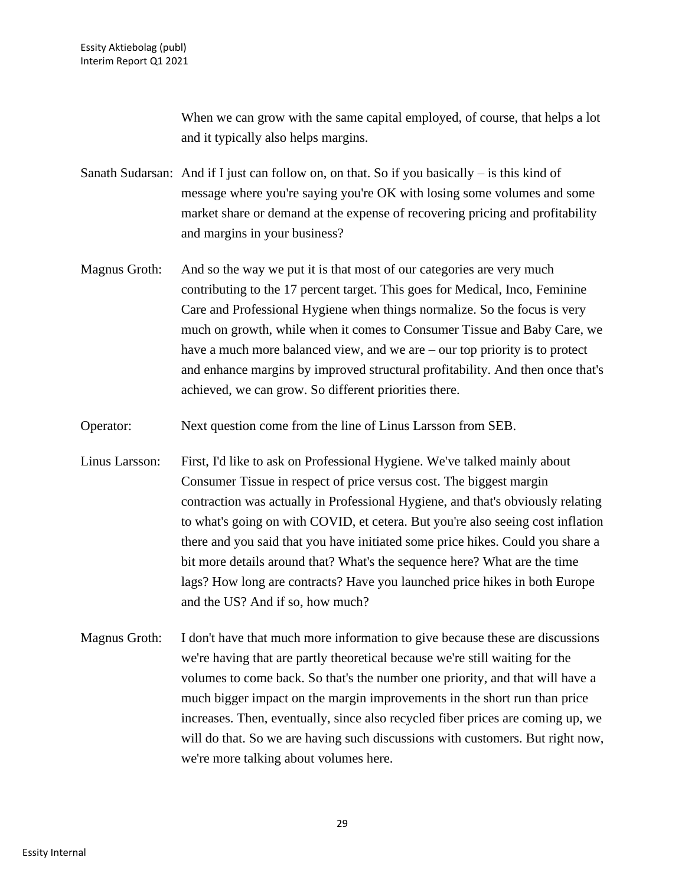When we can grow with the same capital employed, of course, that helps a lot and it typically also helps margins.

Sanath Sudarsan: And if I just can follow on, on that. So if you basically  $-$  is this kind of message where you're saying you're OK with losing some volumes and some market share or demand at the expense of recovering pricing and profitability and margins in your business?

- Magnus Groth: And so the way we put it is that most of our categories are very much contributing to the 17 percent target. This goes for Medical, Inco, Feminine Care and Professional Hygiene when things normalize. So the focus is very much on growth, while when it comes to Consumer Tissue and Baby Care, we have a much more balanced view, and we are – our top priority is to protect and enhance margins by improved structural profitability. And then once that's achieved, we can grow. So different priorities there.
- Operator: Next question come from the line of Linus Larsson from SEB.
- Linus Larsson: First, I'd like to ask on Professional Hygiene. We've talked mainly about Consumer Tissue in respect of price versus cost. The biggest margin contraction was actually in Professional Hygiene, and that's obviously relating to what's going on with COVID, et cetera. But you're also seeing cost inflation there and you said that you have initiated some price hikes. Could you share a bit more details around that? What's the sequence here? What are the time lags? How long are contracts? Have you launched price hikes in both Europe and the US? And if so, how much?
- Magnus Groth: I don't have that much more information to give because these are discussions we're having that are partly theoretical because we're still waiting for the volumes to come back. So that's the number one priority, and that will have a much bigger impact on the margin improvements in the short run than price increases. Then, eventually, since also recycled fiber prices are coming up, we will do that. So we are having such discussions with customers. But right now, we're more talking about volumes here.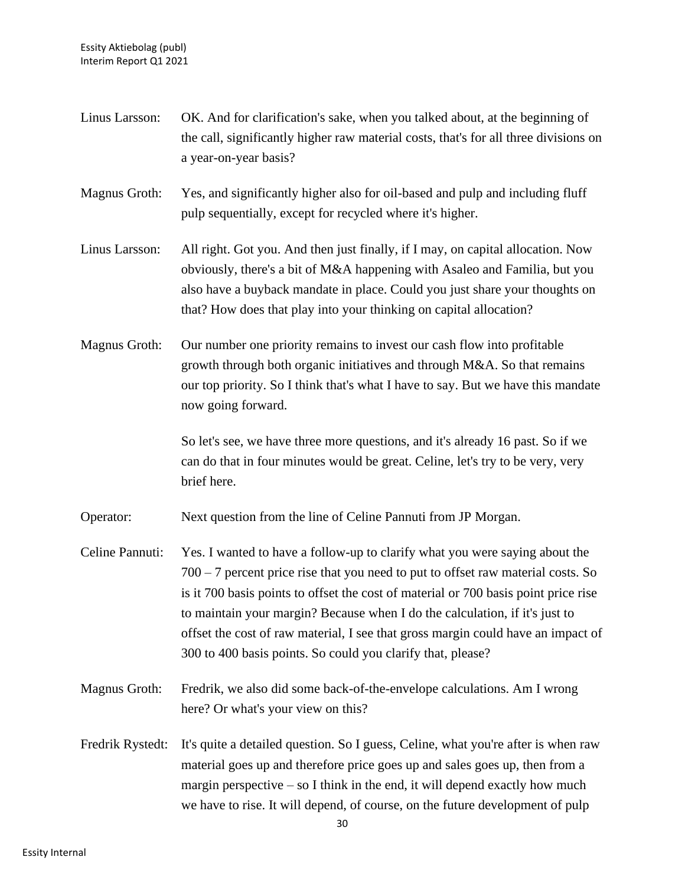| Linus Larsson:   | OK. And for clarification's sake, when you talked about, at the beginning of<br>the call, significantly higher raw material costs, that's for all three divisions on<br>a year-on-year basis?                                                                                                                                                                                                                                                                                              |
|------------------|--------------------------------------------------------------------------------------------------------------------------------------------------------------------------------------------------------------------------------------------------------------------------------------------------------------------------------------------------------------------------------------------------------------------------------------------------------------------------------------------|
| Magnus Groth:    | Yes, and significantly higher also for oil-based and pulp and including fluff<br>pulp sequentially, except for recycled where it's higher.                                                                                                                                                                                                                                                                                                                                                 |
| Linus Larsson:   | All right. Got you. And then just finally, if I may, on capital allocation. Now<br>obviously, there's a bit of M&A happening with Asaleo and Familia, but you<br>also have a buyback mandate in place. Could you just share your thoughts on<br>that? How does that play into your thinking on capital allocation?                                                                                                                                                                         |
| Magnus Groth:    | Our number one priority remains to invest our cash flow into profitable<br>growth through both organic initiatives and through M&A. So that remains<br>our top priority. So I think that's what I have to say. But we have this mandate<br>now going forward.                                                                                                                                                                                                                              |
|                  | So let's see, we have three more questions, and it's already 16 past. So if we<br>can do that in four minutes would be great. Celine, let's try to be very, very<br>brief here.                                                                                                                                                                                                                                                                                                            |
| Operator:        | Next question from the line of Celine Pannuti from JP Morgan.                                                                                                                                                                                                                                                                                                                                                                                                                              |
| Celine Pannuti:  | Yes. I wanted to have a follow-up to clarify what you were saying about the<br>$700 - 7$ percent price rise that you need to put to offset raw material costs. So<br>is it 700 basis points to offset the cost of material or 700 basis point price rise<br>to maintain your margin? Because when I do the calculation, if it's just to<br>offset the cost of raw material, I see that gross margin could have an impact of<br>300 to 400 basis points. So could you clarify that, please? |
| Magnus Groth:    | Fredrik, we also did some back-of-the-envelope calculations. Am I wrong<br>here? Or what's your view on this?                                                                                                                                                                                                                                                                                                                                                                              |
| Fredrik Rystedt: | It's quite a detailed question. So I guess, Celine, what you're after is when raw<br>material goes up and therefore price goes up and sales goes up, then from a<br>margin perspective $-$ so I think in the end, it will depend exactly how much<br>we have to rise. It will depend, of course, on the future development of pulp                                                                                                                                                         |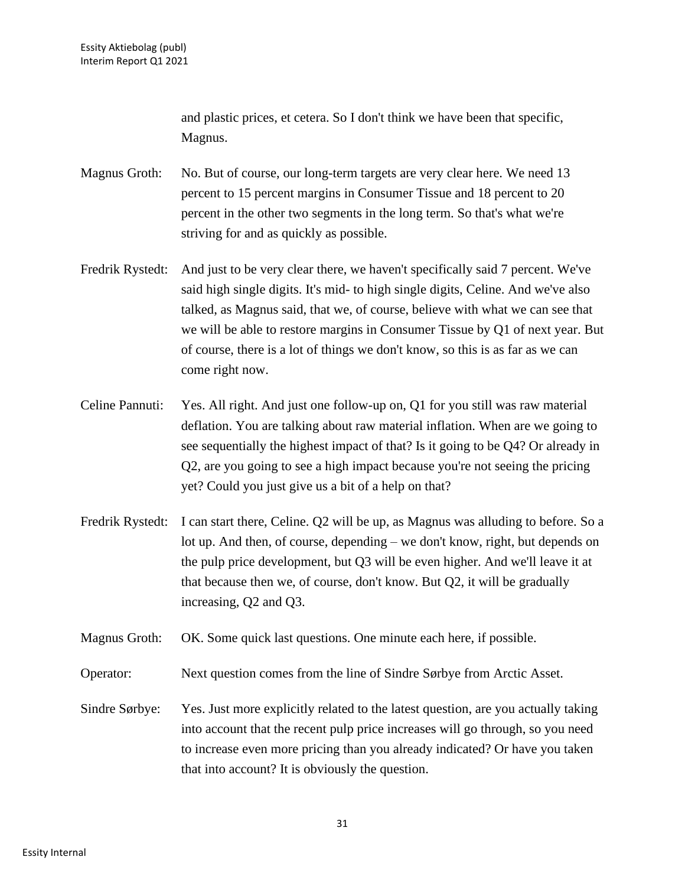and plastic prices, et cetera. So I don't think we have been that specific, Magnus.

Magnus Groth: No. But of course, our long-term targets are very clear here. We need 13 percent to 15 percent margins in Consumer Tissue and 18 percent to 20 percent in the other two segments in the long term. So that's what we're striving for and as quickly as possible.

- Fredrik Rystedt: And just to be very clear there, we haven't specifically said 7 percent. We've said high single digits. It's mid- to high single digits, Celine. And we've also talked, as Magnus said, that we, of course, believe with what we can see that we will be able to restore margins in Consumer Tissue by Q1 of next year. But of course, there is a lot of things we don't know, so this is as far as we can come right now.
- Celine Pannuti: Yes. All right. And just one follow-up on, Q1 for you still was raw material deflation. You are talking about raw material inflation. When are we going to see sequentially the highest impact of that? Is it going to be Q4? Or already in Q2, are you going to see a high impact because you're not seeing the pricing yet? Could you just give us a bit of a help on that?
- Fredrik Rystedt: I can start there, Celine. Q2 will be up, as Magnus was alluding to before. So a lot up. And then, of course, depending – we don't know, right, but depends on the pulp price development, but Q3 will be even higher. And we'll leave it at that because then we, of course, don't know. But Q2, it will be gradually increasing, Q2 and Q3.

Magnus Groth: OK. Some quick last questions. One minute each here, if possible.

Operator: Next question comes from the line of Sindre Sørbye from Arctic Asset.

Sindre Sørbye: Yes. Just more explicitly related to the latest question, are you actually taking into account that the recent pulp price increases will go through, so you need to increase even more pricing than you already indicated? Or have you taken that into account? It is obviously the question.